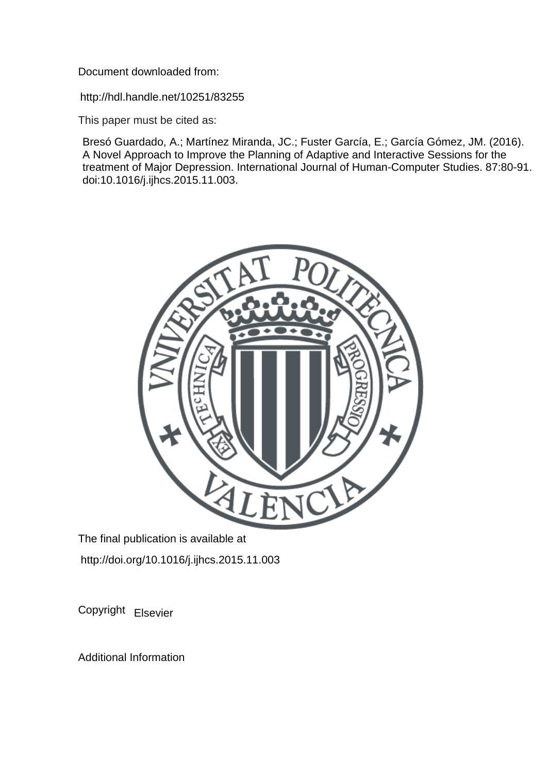Document downloaded from:

http://hdl.handle.net/10251/83255

This paper must be cited as:

Bresó Guardado, A.; Martínez Miranda, JC.; Fuster García, E.; García Gómez, JM. (2016). A Novel Approach to Improve the Planning of Adaptive and Interactive Sessions for the treatment of Major Depression. International Journal of Human-Computer Studies. 87:80-91. doi:10.1016/j.ijhcs.2015.11.003.



The final publication is available at http://doi.org/10.1016/j.ijhcs.2015.11.003

Copyright Elsevier

Additional Information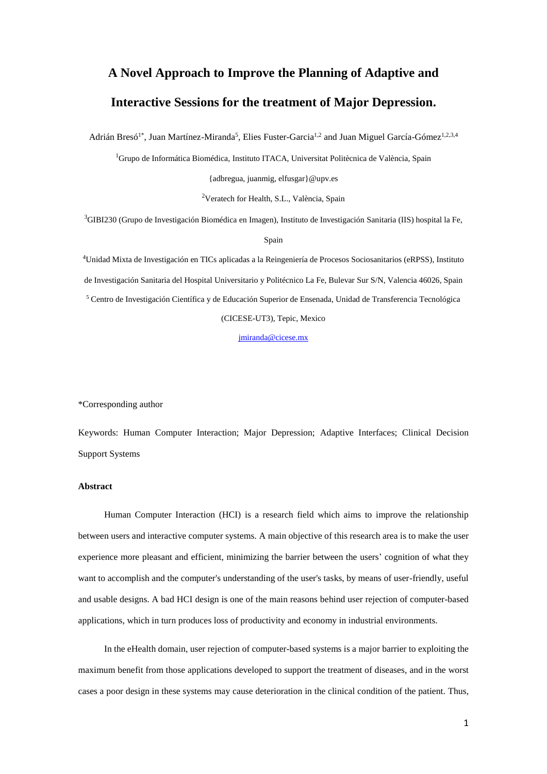# **A Novel Approach to Improve the Planning of Adaptive and Interactive Sessions for the treatment of Major Depression.**

Adrián Bresó<sup>1\*</sup>, Juan Martínez-Miranda<sup>5</sup>, Elies Fuster-Garcia<sup>1,2</sup> and Juan Miguel García-Gómez<sup>1,2,3,4</sup>

<sup>1</sup>Grupo de Informática Biomédica, Instituto ITACA, Universitat Politècnica de València, Spain

{adbregua, juanmig, elfusgar}@upv.es

<sup>2</sup>Veratech for Health, S.L., València, Spain

<sup>3</sup>GIBI230 (Grupo de Investigación Biomédica en Imagen), Instituto de Investigación Sanitaria (IIS) hospital la Fe,

Spain

<sup>4</sup>Unidad Mixta de Investigación en TICs aplicadas a la Reingeniería de Procesos Sociosanitarios (eRPSS), Instituto de Investigación Sanitaria del Hospital Universitario y Politécnico La Fe, Bulevar Sur S/N, Valencia 46026, Spain <sup>5</sup> Centro de Investigación Científica y de Educación Superior de Ensenada, Unidad de Transferencia Tecnológica (CICESE-UT3), Tepic, Mexico

jmiranda@cicese.mx

\*Corresponding author

Keywords: Human Computer Interaction; Major Depression; Adaptive Interfaces; Clinical Decision Support Systems

## **Abstract**

Human Computer Interaction (HCI) is a research field which aims to improve the relationship between users and interactive computer systems. A main objective of this research area is to make the user experience more pleasant and efficient, minimizing the barrier between the users' cognition of what they want to accomplish and the computer's understanding of the user's tasks, by means of user-friendly, useful and usable designs. A bad HCI design is one of the main reasons behind user rejection of computer-based applications, which in turn produces loss of productivity and economy in industrial environments.

In the eHealth domain, user rejection of computer-based systems is a major barrier to exploiting the maximum benefit from those applications developed to support the treatment of diseases, and in the worst cases a poor design in these systems may cause deterioration in the clinical condition of the patient. Thus,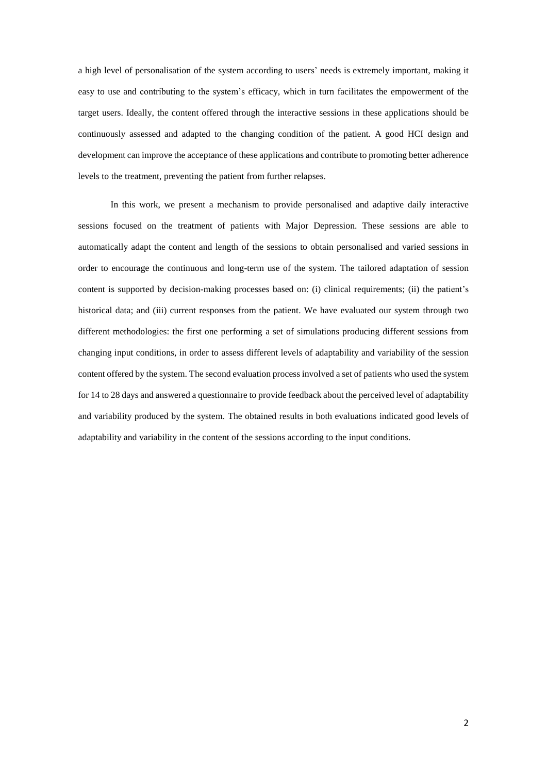a high level of personalisation of the system according to users' needs is extremely important, making it easy to use and contributing to the system's efficacy, which in turn facilitates the empowerment of the target users. Ideally, the content offered through the interactive sessions in these applications should be continuously assessed and adapted to the changing condition of the patient. A good HCI design and development can improve the acceptance of these applications and contribute to promoting better adherence levels to the treatment, preventing the patient from further relapses.

In this work, we present a mechanism to provide personalised and adaptive daily interactive sessions focused on the treatment of patients with Major Depression. These sessions are able to automatically adapt the content and length of the sessions to obtain personalised and varied sessions in order to encourage the continuous and long-term use of the system. The tailored adaptation of session content is supported by decision-making processes based on: (i) clinical requirements; (ii) the patient's historical data; and (iii) current responses from the patient. We have evaluated our system through two different methodologies: the first one performing a set of simulations producing different sessions from changing input conditions, in order to assess different levels of adaptability and variability of the session content offered by the system. The second evaluation process involved a set of patients who used the system for 14 to 28 days and answered a questionnaire to provide feedback about the perceived level of adaptability and variability produced by the system. The obtained results in both evaluations indicated good levels of adaptability and variability in the content of the sessions according to the input conditions.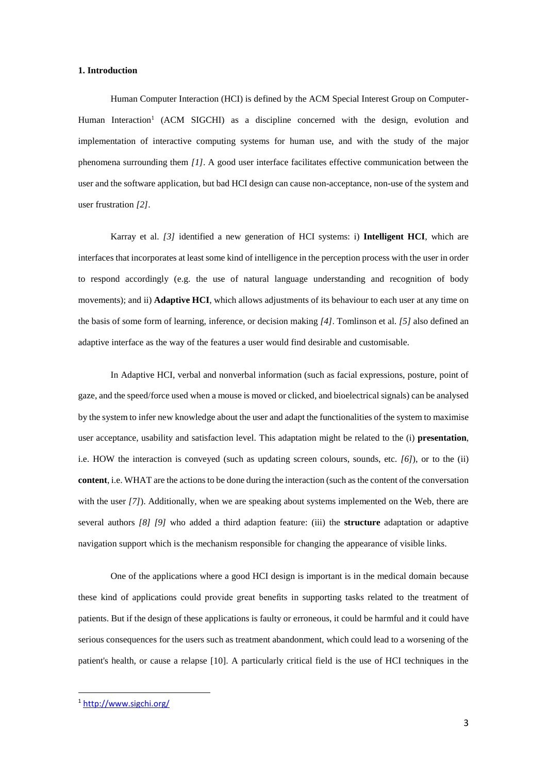#### **1. Introduction**

Human Computer Interaction (HCI) is defined by the ACM Special Interest Group on Computer-Human Interaction<sup>1</sup> (ACM SIGCHI) as a discipline concerned with the design, evolution and implementation of interactive computing systems for human use, and with the study of the major phenomena surrounding them *[1]*. A good user interface facilitates effective communication between the user and the software application, but bad HCI design can cause non-acceptance, non-use of the system and user frustration *[2]*.

Karray et al. *[3]* identified a new generation of HCI systems: i) **Intelligent HCI**, which are interfaces that incorporates at least some kind of intelligence in the perception process with the user in order to respond accordingly (e.g. the use of natural language understanding and recognition of body movements); and ii) **Adaptive HCI**, which allows adjustments of its behaviour to each user at any time on the basis of some form of learning, inference, or decision making *[4]*. Tomlinson et al. *[5]* also defined an adaptive interface as the way of the features a user would find desirable and customisable.

In Adaptive HCI, verbal and nonverbal information (such as facial expressions, posture, point of gaze, and the speed/force used when a mouse is moved or clicked, and bioelectrical signals) can be analysed by the system to infer new knowledge about the user and adapt the functionalities of the system to maximise user acceptance, usability and satisfaction level. This adaptation might be related to the (i) **presentation**, i.e. HOW the interaction is conveyed (such as updating screen colours, sounds, etc. *[6]*), or to the (ii) **content**, i.e. WHAT are the actions to be done during the interaction (such as the content of the conversation with the user [7]). Additionally, when we are speaking about systems implemented on the Web, there are several authors *[8] [9]* who added a third adaption feature: (iii) the **structure** adaptation or adaptive navigation support which is the mechanism responsible for changing the appearance of visible links.

One of the applications where a good HCI design is important is in the medical domain because these kind of applications could provide great benefits in supporting tasks related to the treatment of patients. But if the design of these applications is faulty or erroneous, it could be harmful and it could have serious consequences for the users such as treatment abandonment, which could lead to a worsening of the patient's health, or cause a relapse [10]. A particularly critical field is the use of HCI techniques in the

**.** 

<sup>1</sup> <http://www.sigchi.org/>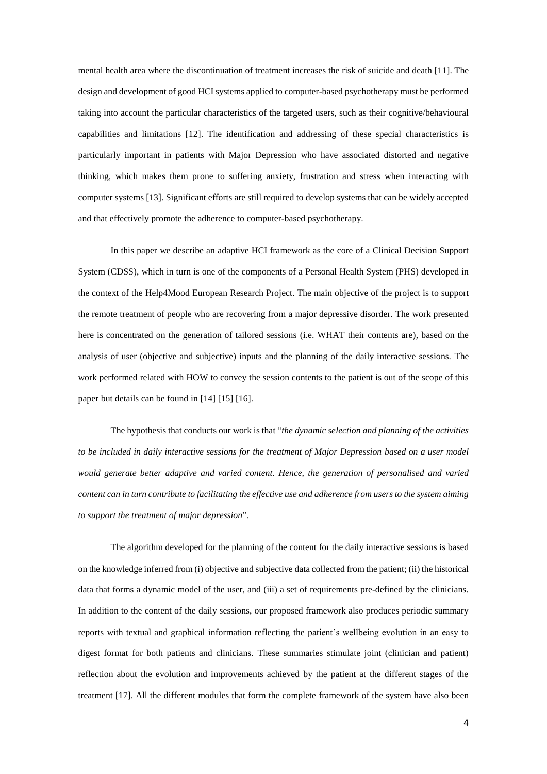mental health area where the discontinuation of treatment increases the risk of suicide and death [11]. The design and development of good HCI systems applied to computer-based psychotherapy must be performed taking into account the particular characteristics of the targeted users, such as their cognitive/behavioural capabilities and limitations [12]. The identification and addressing of these special characteristics is particularly important in patients with Major Depression who have associated distorted and negative thinking, which makes them prone to suffering anxiety, frustration and stress when interacting with computer systems [13]. Significant efforts are still required to develop systems that can be widely accepted and that effectively promote the adherence to computer-based psychotherapy.

In this paper we describe an adaptive HCI framework as the core of a Clinical Decision Support System (CDSS), which in turn is one of the components of a Personal Health System (PHS) developed in the context of the Help4Mood European Research Project. The main objective of the project is to support the remote treatment of people who are recovering from a major depressive disorder. The work presented here is concentrated on the generation of tailored sessions (i.e. WHAT their contents are), based on the analysis of user (objective and subjective) inputs and the planning of the daily interactive sessions. The work performed related with HOW to convey the session contents to the patient is out of the scope of this paper but details can be found in [14] [15] [16].

The hypothesis that conducts our work is that "*the dynamic selection and planning of the activities to be included in daily interactive sessions for the treatment of Major Depression based on a user model would generate better adaptive and varied content. Hence, the generation of personalised and varied content can in turn contribute to facilitating the effective use and adherence from users to the system aiming to support the treatment of major depression*"*.*

The algorithm developed for the planning of the content for the daily interactive sessions is based on the knowledge inferred from (i) objective and subjective data collected from the patient; (ii) the historical data that forms a dynamic model of the user, and (iii) a set of requirements pre-defined by the clinicians. In addition to the content of the daily sessions, our proposed framework also produces periodic summary reports with textual and graphical information reflecting the patient's wellbeing evolution in an easy to digest format for both patients and clinicians. These summaries stimulate joint (clinician and patient) reflection about the evolution and improvements achieved by the patient at the different stages of the treatment [17]. All the different modules that form the complete framework of the system have also been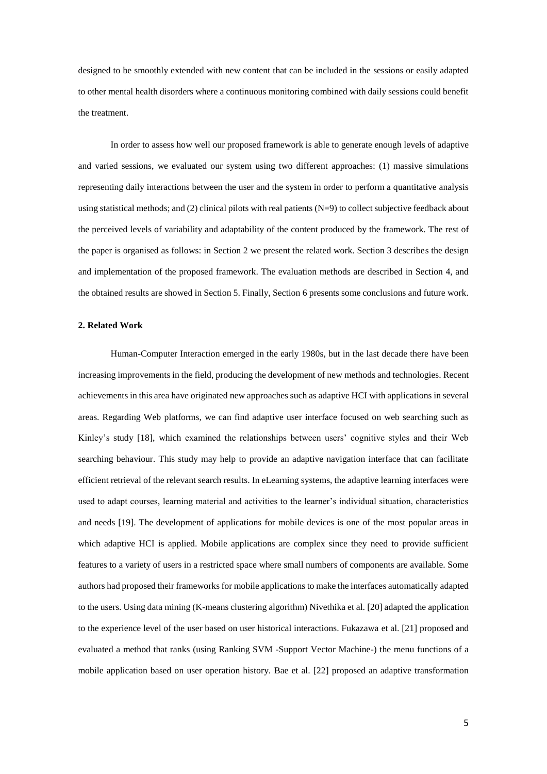designed to be smoothly extended with new content that can be included in the sessions or easily adapted to other mental health disorders where a continuous monitoring combined with daily sessions could benefit the treatment.

In order to assess how well our proposed framework is able to generate enough levels of adaptive and varied sessions, we evaluated our system using two different approaches: (1) massive simulations representing daily interactions between the user and the system in order to perform a quantitative analysis using statistical methods; and (2) clinical pilots with real patients (N=9) to collect subjective feedback about the perceived levels of variability and adaptability of the content produced by the framework. The rest of the paper is organised as follows: in Section 2 we present the related work. Section 3 describes the design and implementation of the proposed framework. The evaluation methods are described in Section 4, and the obtained results are showed in Section 5. Finally, Section 6 presents some conclusions and future work.

#### **2. Related Work**

Human-Computer Interaction emerged in the early 1980s, but in the last decade there have been increasing improvements in the field, producing the development of new methods and technologies. Recent achievements in this area have originated new approaches such as adaptive HCI with applications in several areas. Regarding Web platforms, we can find adaptive user interface focused on web searching such as Kinley's study [18], which examined the relationships between users' cognitive styles and their Web searching behaviour. This study may help to provide an adaptive navigation interface that can facilitate efficient retrieval of the relevant search results. In eLearning systems, the adaptive learning interfaces were used to adapt courses, learning material and activities to the learner's individual situation, characteristics and needs [19]. The development of applications for mobile devices is one of the most popular areas in which adaptive HCI is applied. Mobile applications are complex since they need to provide sufficient features to a variety of users in a restricted space where small numbers of components are available. Some authors had proposed their frameworks for mobile applications to make the interfaces automatically adapted to the users. Using data mining (K-means clustering algorithm) Nivethika et al. [20] adapted the application to the experience level of the user based on user historical interactions. Fukazawa et al. [21] proposed and evaluated a method that ranks (using Ranking SVM -Support Vector Machine-) the menu functions of a mobile application based on user operation history. Bae et al. [22] proposed an adaptive transformation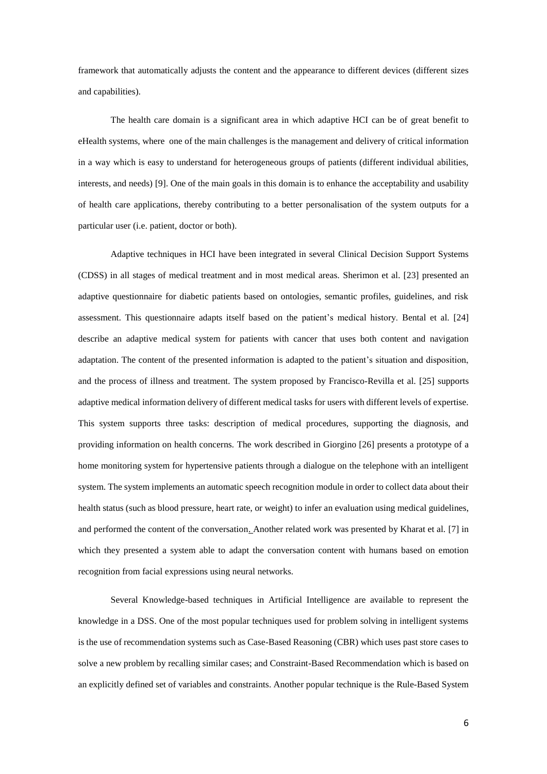framework that automatically adjusts the content and the appearance to different devices (different sizes and capabilities).

The health care domain is a significant area in which adaptive HCI can be of great benefit to eHealth systems, where one of the main challenges is the management and delivery of critical information in a way which is easy to understand for heterogeneous groups of patients (different individual abilities, interests, and needs) [9]. One of the main goals in this domain is to enhance the acceptability and usability of health care applications, thereby contributing to a better personalisation of the system outputs for a particular user (i.e. patient, doctor or both).

Adaptive techniques in HCI have been integrated in several Clinical Decision Support Systems (CDSS) in all stages of medical treatment and in most medical areas. Sherimon et al. [23] presented an adaptive questionnaire for diabetic patients based on ontologies, semantic profiles, guidelines, and risk assessment. This questionnaire adapts itself based on the patient's medical history. Bental et al. [24] describe an adaptive medical system for patients with cancer that uses both content and navigation adaptation. The content of the presented information is adapted to the patient's situation and disposition, and the process of illness and treatment. The system proposed by Francisco-Revilla et al. [25] supports adaptive medical information delivery of different medical tasks for users with different levels of expertise. This system supports three tasks: description of medical procedures, supporting the diagnosis, and providing information on health concerns. The work described in Giorgino [26] presents a prototype of a home monitoring system for hypertensive patients through a dialogue on the telephone with an intelligent system. The system implements an automatic speech recognition module in order to collect data about their health status (such as blood pressure, heart rate, or weight) to infer an evaluation using medical guidelines, and performed the content of the conversation. Another related work was presented by Kharat et al. [7] in which they presented a system able to adapt the conversation content with humans based on emotion recognition from facial expressions using neural networks.

Several Knowledge-based techniques in Artificial Intelligence are available to represent the knowledge in a DSS. One of the most popular techniques used for problem solving in intelligent systems is the use of recommendation systems such as Case-Based Reasoning (CBR) which uses past store cases to solve a new problem by recalling similar cases; and Constraint-Based Recommendation which is based on an explicitly defined set of variables and constraints. Another popular technique is the Rule-Based System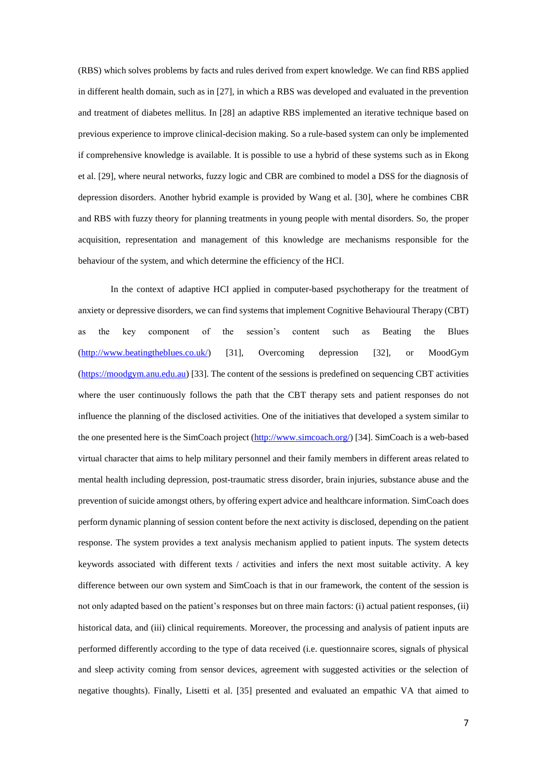(RBS) which solves problems by facts and rules derived from expert knowledge. We can find RBS applied in different health domain, such as in [27], in which a RBS was developed and evaluated in the prevention and treatment of diabetes mellitus. In [28] an adaptive RBS implemented an iterative technique based on previous experience to improve clinical-decision making. So a rule-based system can only be implemented if comprehensive knowledge is available. It is possible to use a hybrid of these systems such as in Ekong et al. [29], where neural networks, fuzzy logic and CBR are combined to model a DSS for the diagnosis of depression disorders. Another hybrid example is provided by Wang et al. [30], where he combines CBR and RBS with fuzzy theory for planning treatments in young people with mental disorders. So, the proper acquisition, representation and management of this knowledge are mechanisms responsible for the behaviour of the system, and which determine the efficiency of the HCI.

In the context of adaptive HCI applied in computer-based psychotherapy for the treatment of anxiety or depressive disorders, we can find systems that implement Cognitive Behavioural Therapy (CBT) as the key component of the session's content such as Beating the Blues [\(http://www.beatingtheblues.co.uk/\)](http://www.beatingtheblues.co.uk/) [31], Overcoming depression [32], or MoodGym [\(https://moodgym.anu.edu.au\)](https://moodgym.anu.edu.au/) [33]. The content of the sessions is predefined on sequencing CBT activities where the user continuously follows the path that the CBT therapy sets and patient responses do not influence the planning of the disclosed activities. One of the initiatives that developed a system similar to the one presented here is the SimCoach project [\(http://www.simcoach.org/\)](http://www.simcoach.org/) [34]. SimCoach is a web-based virtual character that aims to help military personnel and their family members in different areas related to mental health including depression, post-traumatic stress disorder, brain injuries, substance abuse and the prevention of suicide amongst others, by offering expert advice and healthcare information. SimCoach does perform dynamic planning of session content before the next activity is disclosed, depending on the patient response. The system provides a text analysis mechanism applied to patient inputs. The system detects keywords associated with different texts / activities and infers the next most suitable activity. A key difference between our own system and SimCoach is that in our framework, the content of the session is not only adapted based on the patient's responses but on three main factors: (i) actual patient responses, (ii) historical data, and (iii) clinical requirements. Moreover, the processing and analysis of patient inputs are performed differently according to the type of data received (i.e. questionnaire scores, signals of physical and sleep activity coming from sensor devices, agreement with suggested activities or the selection of negative thoughts). Finally, Lisetti et al. [35] presented and evaluated an empathic VA that aimed to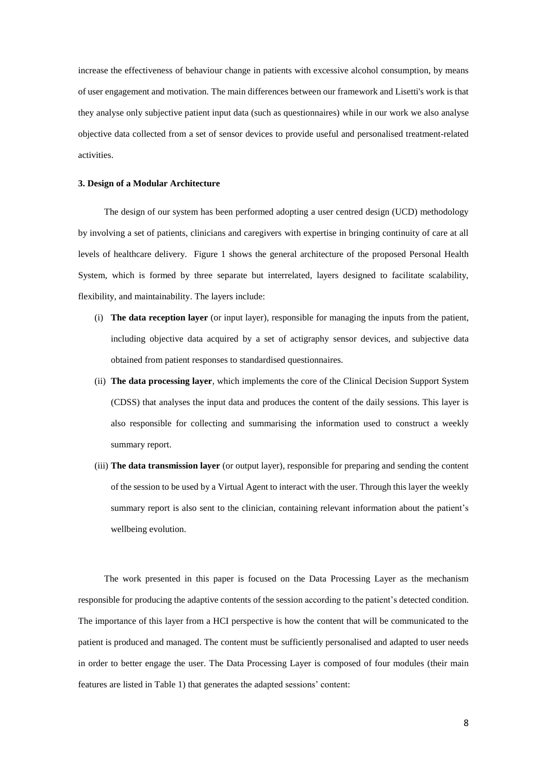increase the effectiveness of behaviour change in patients with excessive alcohol consumption, by means of user engagement and motivation. The main differences between our framework and Lisetti's work is that they analyse only subjective patient input data (such as questionnaires) while in our work we also analyse objective data collected from a set of sensor devices to provide useful and personalised treatment-related activities.

#### **3. Design of a Modular Architecture**

The design of our system has been performed adopting a user centred design (UCD) methodology by involving a set of patients, clinicians and caregivers with expertise in bringing continuity of care at all levels of healthcare delivery. Figure 1 shows the general architecture of the proposed Personal Health System, which is formed by three separate but interrelated, layers designed to facilitate scalability, flexibility, and maintainability. The layers include:

- (i) **The data reception layer** (or input layer), responsible for managing the inputs from the patient, including objective data acquired by a set of actigraphy sensor devices, and subjective data obtained from patient responses to standardised questionnaires.
- (ii) **The data processing layer**, which implements the core of the Clinical Decision Support System (CDSS) that analyses the input data and produces the content of the daily sessions. This layer is also responsible for collecting and summarising the information used to construct a weekly summary report.
- (iii) **The data transmission layer** (or output layer), responsible for preparing and sending the content of the session to be used by a Virtual Agent to interact with the user. Through this layer the weekly summary report is also sent to the clinician, containing relevant information about the patient's wellbeing evolution.

The work presented in this paper is focused on the Data Processing Layer as the mechanism responsible for producing the adaptive contents of the session according to the patient's detected condition. The importance of this layer from a HCI perspective is how the content that will be communicated to the patient is produced and managed. The content must be sufficiently personalised and adapted to user needs in order to better engage the user. The Data Processing Layer is composed of four modules (their main features are listed in Table 1) that generates the adapted sessions' content: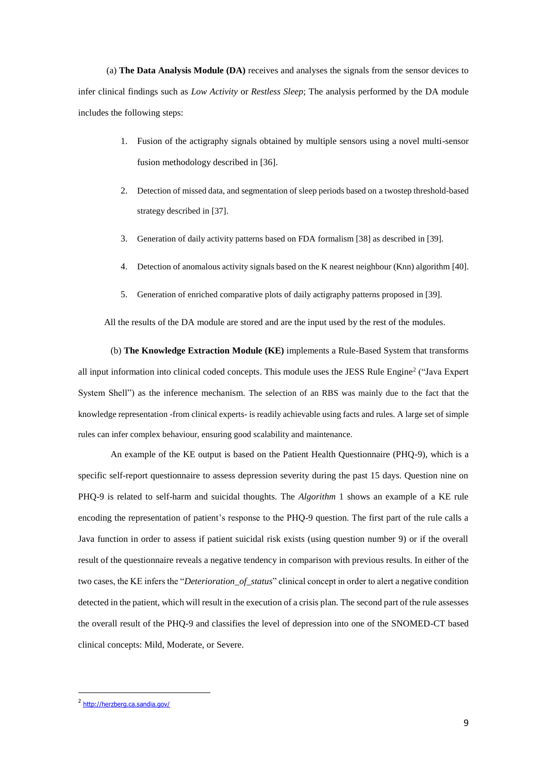(a) **The Data Analysis Module (DA)** receives and analyses the signals from the sensor devices to infer clinical findings such as *Low Activity* or *Restless Sleep*; The analysis performed by the DA module includes the following steps:

- 1. Fusion of the actigraphy signals obtained by multiple sensors using a novel multi-sensor fusion methodology described in [36].
- 2. Detection of missed data, and segmentation of sleep periods based on a twostep threshold-based strategy described in [37].
- 3. Generation of daily activity patterns based on FDA formalism [38] as described in [39].
- 4. Detection of anomalous activity signals based on the K nearest neighbour (Knn) algorithm [40].
- 5. Generation of enriched comparative plots of daily actigraphy patterns proposed in [39].

All the results of the DA module are stored and are the input used by the rest of the modules.

(b) **The Knowledge Extraction Module (KE)** implements a Rule-Based System that transforms all input information into clinical coded concepts. This module uses the JESS Rule Engine<sup>2</sup> ("Java Expert System Shell") as the inference mechanism. The selection of an RBS was mainly due to the fact that the knowledge representation -from clinical experts- is readily achievable using facts and rules. A large set of simple rules can infer complex behaviour, ensuring good scalability and maintenance.

An example of the KE output is based on the Patient Health Questionnaire (PHQ-9), which is a specific self-report questionnaire to assess depression severity during the past 15 days. Question nine on PHQ-9 is related to self-harm and suicidal thoughts. The *Algorithm* 1 shows an example of a KE rule encoding the representation of patient's response to the PHQ-9 question. The first part of the rule calls a Java function in order to assess if patient suicidal risk exists (using question number 9) or if the overall result of the questionnaire reveals a negative tendency in comparison with previous results. In either of the two cases, the KE infers the "*Deterioration\_of\_status*" clinical concept in order to alert a negative condition detected in the patient, which will result in the execution of a crisis plan. The second part of the rule assesses the overall result of the PHQ-9 and classifies the level of depression into one of the SNOMED-CT based clinical concepts: Mild, Moderate, or Severe.

**.** 

<sup>2</sup> <http://herzberg.ca.sandia.gov/>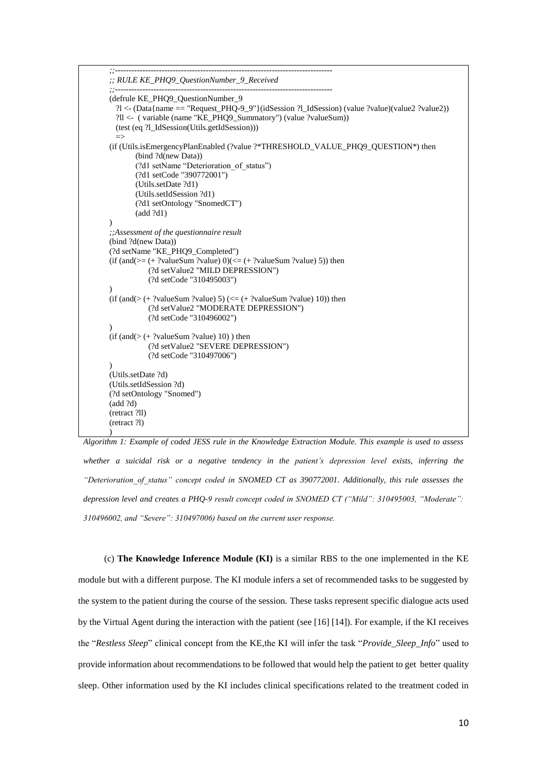```
;;-------------------------------------------------------------------------------
;; RULE KE_PHQ9_QuestionNumber_9_Received
;;-------------------------------------------------------------------------------
(defrule KE_PHQ9_QuestionNumber_9
  2! \leftarrow (Data{name == "Request_PHO-9_9"}(idSession ?l_IdSession) (value ?value)(value2 ?value2))
 ?ll <- ( variable (name "KE_PHQ9_Summatory") (value ?valueSum))
 (test (eq ?l_IdSession(Utils.getIdSession)))
 \Rightarrow(if (Utils.isEmergencyPlanEnabled (?value ?*THRESHOLD_VALUE_PHQ9_QUESTION*) then
       (bind ?d(new Data))
       (?d1 setName "Deterioration_of_status")
       (?d1 setCode "390772001")
       (Utils.setDate ?d1)
       (Utils.setIdSession ?d1)
       (?d1 setOntology "SnomedCT")
       (add ?d1)
)
;;Assessment of the questionnaire result
(bind ?d(new Data))
(?d setName "KE_PHQ9_Completed")
(if (and \geq (+ ? valueSum ? value) 0)(\leq (+ ? valueSum ? value) 5)) then
            (?d setValue2 "MILD DEPRESSION") 
            (?d setCode "310495003")
)
(if (and > (+ ?valueSum ?value) 5) (<= (+ ?valueSum ?value) 10)) then
            (?d setValue2 "MODERATE DEPRESSION") 
            (?d setCode "310496002")
)
(if (and <math>~(+ ?</math> valueSum ?value) 10)) then (?d setValue2 "SEVERE DEPRESSION")
            (?d setCode "310497006")
)
(Utils.setDate ?d)
(Utils.setIdSession ?d)
(?d setOntology "Snomed")
(add ?d)
(retract ?ll)
(retract ?l)
)
```
*Algorithm 1: Example of coded JESS rule in the Knowledge Extraction Module. This example is used to assess whether a suicidal risk or a negative tendency in the patient's depression level exists, inferring the "Deterioration\_of\_status" concept coded in SNOMED CT as 390772001. Additionally, this rule assesses the depression level and creates a PHQ-9 result concept coded in SNOMED CT ("Mild": 310495003, "Moderate": 310496002, and "Severe": 310497006) based on the current user response.*

(c) **The Knowledge Inference Module (KI)** is a similar RBS to the one implemented in the KE module but with a different purpose. The KI module infers a set of recommended tasks to be suggested by the system to the patient during the course of the session. These tasks represent specific dialogue acts used by the Virtual Agent during the interaction with the patient (see [16] [14]). For example, if the KI receives the "*Restless Sleep*" clinical concept from the KE,the KI will infer the task "*Provide\_Sleep\_Info*" used to provide information about recommendations to be followed that would help the patient to get better quality sleep. Other information used by the KI includes clinical specifications related to the treatment coded in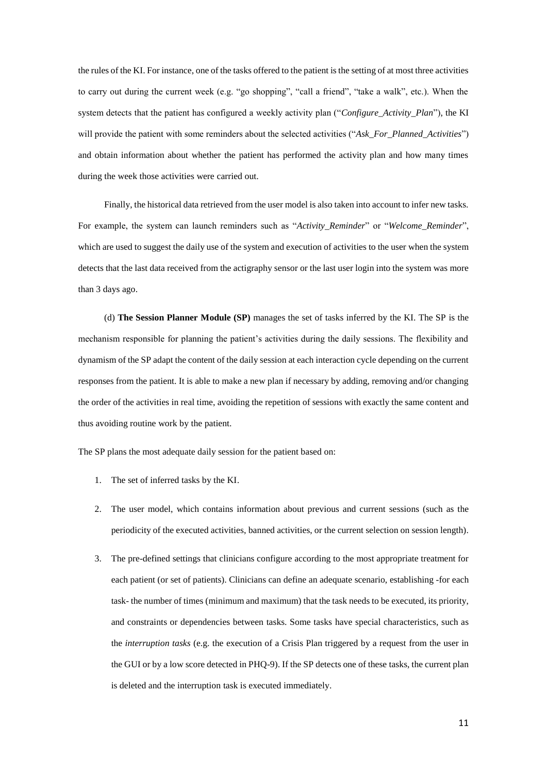the rules of the KI. For instance, one of the tasks offered to the patient is the setting of at most three activities to carry out during the current week (e.g. "go shopping", "call a friend", "take a walk", etc.). When the system detects that the patient has configured a weekly activity plan ("*Configure\_Activity\_Plan*"), the KI will provide the patient with some reminders about the selected activities ("*Ask\_For\_Planned\_Activities*") and obtain information about whether the patient has performed the activity plan and how many times during the week those activities were carried out.

Finally, the historical data retrieved from the user model is also taken into account to infer new tasks. For example, the system can launch reminders such as "*Activity\_Reminder*" or "*Welcome\_Reminder*", which are used to suggest the daily use of the system and execution of activities to the user when the system detects that the last data received from the actigraphy sensor or the last user login into the system was more than 3 days ago.

(d) **The Session Planner Module (SP)** manages the set of tasks inferred by the KI. The SP is the mechanism responsible for planning the patient's activities during the daily sessions. The flexibility and dynamism of the SP adapt the content of the daily session at each interaction cycle depending on the current responses from the patient. It is able to make a new plan if necessary by adding, removing and/or changing the order of the activities in real time, avoiding the repetition of sessions with exactly the same content and thus avoiding routine work by the patient.

The SP plans the most adequate daily session for the patient based on:

- 1. The set of inferred tasks by the KI.
- 2. The user model, which contains information about previous and current sessions (such as the periodicity of the executed activities, banned activities, or the current selection on session length).
- 3. The pre-defined settings that clinicians configure according to the most appropriate treatment for each patient (or set of patients). Clinicians can define an adequate scenario, establishing -for each task- the number of times (minimum and maximum) that the task needs to be executed, its priority, and constraints or dependencies between tasks. Some tasks have special characteristics, such as the *interruption tasks* (e.g. the execution of a Crisis Plan triggered by a request from the user in the GUI or by a low score detected in PHQ-9). If the SP detects one of these tasks, the current plan is deleted and the interruption task is executed immediately.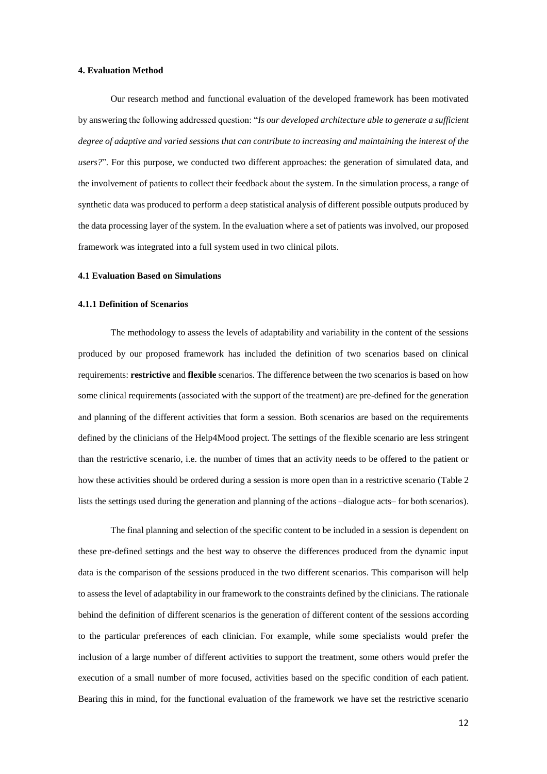# **4. Evaluation Method**

Our research method and functional evaluation of the developed framework has been motivated by answering the following addressed question: "*Is our developed architecture able to generate a sufficient degree of adaptive and varied sessions that can contribute to increasing and maintaining the interest of the users?*". For this purpose, we conducted two different approaches: the generation of simulated data, and the involvement of patients to collect their feedback about the system. In the simulation process, a range of synthetic data was produced to perform a deep statistical analysis of different possible outputs produced by the data processing layer of the system. In the evaluation where a set of patients was involved, our proposed framework was integrated into a full system used in two clinical pilots.

## **4.1 Evaluation Based on Simulations**

#### **4.1.1 Definition of Scenarios**

The methodology to assess the levels of adaptability and variability in the content of the sessions produced by our proposed framework has included the definition of two scenarios based on clinical requirements: **restrictive** and **flexible** scenarios. The difference between the two scenarios is based on how some clinical requirements (associated with the support of the treatment) are pre-defined for the generation and planning of the different activities that form a session. Both scenarios are based on the requirements defined by the clinicians of the Help4Mood project. The settings of the flexible scenario are less stringent than the restrictive scenario, i.e. the number of times that an activity needs to be offered to the patient or how these activities should be ordered during a session is more open than in a restrictive scenario (Table 2 lists the settings used during the generation and planning of the actions –dialogue acts– for both scenarios).

The final planning and selection of the specific content to be included in a session is dependent on these pre-defined settings and the best way to observe the differences produced from the dynamic input data is the comparison of the sessions produced in the two different scenarios. This comparison will help to assess the level of adaptability in our framework to the constraints defined by the clinicians. The rationale behind the definition of different scenarios is the generation of different content of the sessions according to the particular preferences of each clinician. For example, while some specialists would prefer the inclusion of a large number of different activities to support the treatment, some others would prefer the execution of a small number of more focused, activities based on the specific condition of each patient. Bearing this in mind, for the functional evaluation of the framework we have set the restrictive scenario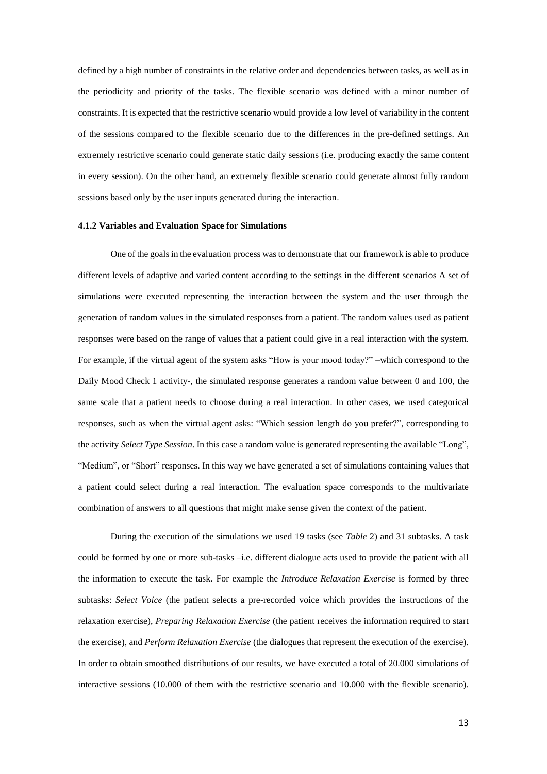defined by a high number of constraints in the relative order and dependencies between tasks, as well as in the periodicity and priority of the tasks. The flexible scenario was defined with a minor number of constraints. It is expected that the restrictive scenario would provide a low level of variability in the content of the sessions compared to the flexible scenario due to the differences in the pre-defined settings. An extremely restrictive scenario could generate static daily sessions (i.e. producing exactly the same content in every session). On the other hand, an extremely flexible scenario could generate almost fully random sessions based only by the user inputs generated during the interaction.

## **4.1.2 Variables and Evaluation Space for Simulations**

One of the goalsin the evaluation process was to demonstrate that our framework is able to produce different levels of adaptive and varied content according to the settings in the different scenarios A set of simulations were executed representing the interaction between the system and the user through the generation of random values in the simulated responses from a patient. The random values used as patient responses were based on the range of values that a patient could give in a real interaction with the system. For example, if the virtual agent of the system asks "How is your mood today?" –which correspond to the Daily Mood Check 1 activity-, the simulated response generates a random value between 0 and 100, the same scale that a patient needs to choose during a real interaction. In other cases, we used categorical responses, such as when the virtual agent asks: "Which session length do you prefer?", corresponding to the activity *Select Type Session*. In this case a random value is generated representing the available "Long", "Medium", or "Short" responses. In this way we have generated a set of simulations containing values that a patient could select during a real interaction. The evaluation space corresponds to the multivariate combination of answers to all questions that might make sense given the context of the patient.

During the execution of the simulations we used 19 tasks (see *Table* 2) and 31 subtasks. A task could be formed by one or more sub-tasks –i.e. different dialogue acts used to provide the patient with all the information to execute the task. For example the *Introduce Relaxation Exercise* is formed by three subtasks: *Select Voice* (the patient selects a pre-recorded voice which provides the instructions of the relaxation exercise), *Preparing Relaxation Exercise* (the patient receives the information required to start the exercise), and *Perform Relaxation Exercise* (the dialogues that represent the execution of the exercise). In order to obtain smoothed distributions of our results, we have executed a total of 20.000 simulations of interactive sessions (10.000 of them with the restrictive scenario and 10.000 with the flexible scenario).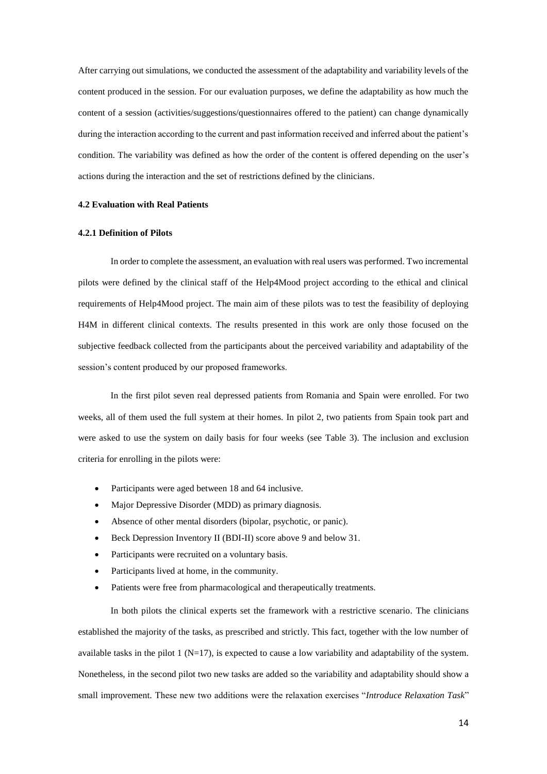After carrying out simulations, we conducted the assessment of the adaptability and variability levels of the content produced in the session. For our evaluation purposes, we define the adaptability as how much the content of a session (activities/suggestions/questionnaires offered to the patient) can change dynamically during the interaction according to the current and past information received and inferred about the patient's condition. The variability was defined as how the order of the content is offered depending on the user's actions during the interaction and the set of restrictions defined by the clinicians.

# **4.2 Evaluation with Real Patients**

## **4.2.1 Definition of Pilots**

In order to complete the assessment, an evaluation with real users was performed. Two incremental pilots were defined by the clinical staff of the Help4Mood project according to the ethical and clinical requirements of Help4Mood project. The main aim of these pilots was to test the feasibility of deploying H4M in different clinical contexts. The results presented in this work are only those focused on the subjective feedback collected from the participants about the perceived variability and adaptability of the session's content produced by our proposed frameworks.

In the first pilot seven real depressed patients from Romania and Spain were enrolled. For two weeks, all of them used the full system at their homes. In pilot 2, two patients from Spain took part and were asked to use the system on daily basis for four weeks (see Table 3). The inclusion and exclusion criteria for enrolling in the pilots were:

- Participants were aged between 18 and 64 inclusive.
- Major Depressive Disorder (MDD) as primary diagnosis.
- Absence of other mental disorders (bipolar, psychotic, or panic).
- Beck Depression Inventory II (BDI-II) score above 9 and below 31.
- Participants were recruited on a voluntary basis.
- Participants lived at home, in the community.
- Patients were free from pharmacological and therapeutically treatments.

In both pilots the clinical experts set the framework with a restrictive scenario. The clinicians established the majority of the tasks, as prescribed and strictly. This fact, together with the low number of available tasks in the pilot  $1 (N=17)$ , is expected to cause a low variability and adaptability of the system. Nonetheless, in the second pilot two new tasks are added so the variability and adaptability should show a small improvement. These new two additions were the relaxation exercises "*Introduce Relaxation Task*"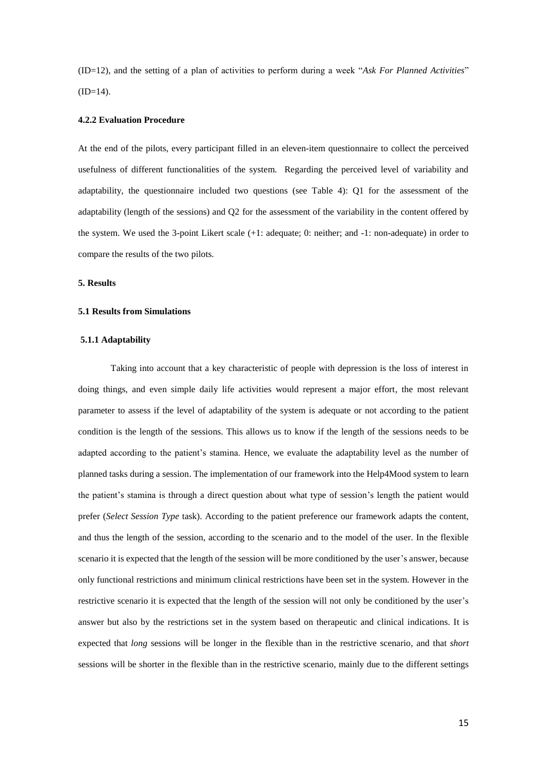(ID=12), and the setting of a plan of activities to perform during a week "*Ask For Planned Activities*"  $(ID=14).$ 

#### **4.2.2 Evaluation Procedure**

At the end of the pilots, every participant filled in an eleven-item questionnaire to collect the perceived usefulness of different functionalities of the system. Regarding the perceived level of variability and adaptability, the questionnaire included two questions (see Table 4): Q1 for the assessment of the adaptability (length of the sessions) and Q2 for the assessment of the variability in the content offered by the system. We used the 3-point Likert scale (+1: adequate; 0: neither; and -1: non-adequate) in order to compare the results of the two pilots.

#### **5. Results**

#### **5.1 Results from Simulations**

#### **5.1.1 Adaptability**

Taking into account that a key characteristic of people with depression is the loss of interest in doing things, and even simple daily life activities would represent a major effort, the most relevant parameter to assess if the level of adaptability of the system is adequate or not according to the patient condition is the length of the sessions. This allows us to know if the length of the sessions needs to be adapted according to the patient's stamina. Hence, we evaluate the adaptability level as the number of planned tasks during a session. The implementation of our framework into the Help4Mood system to learn the patient's stamina is through a direct question about what type of session's length the patient would prefer (*Select Session Type* task). According to the patient preference our framework adapts the content, and thus the length of the session, according to the scenario and to the model of the user. In the flexible scenario it is expected that the length of the session will be more conditioned by the user's answer, because only functional restrictions and minimum clinical restrictions have been set in the system. However in the restrictive scenario it is expected that the length of the session will not only be conditioned by the user's answer but also by the restrictions set in the system based on therapeutic and clinical indications. It is expected that *long* sessions will be longer in the flexible than in the restrictive scenario, and that *short* sessions will be shorter in the flexible than in the restrictive scenario, mainly due to the different settings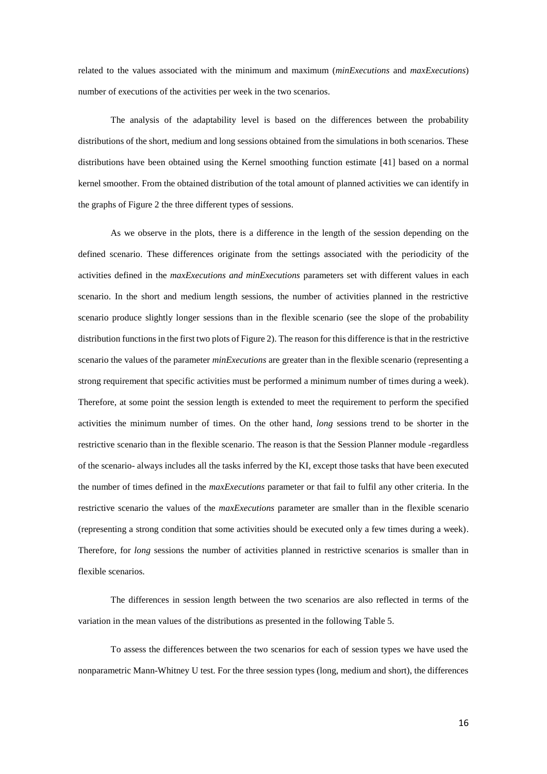related to the values associated with the minimum and maximum (*minExecutions* and *maxExecutions*) number of executions of the activities per week in the two scenarios.

The analysis of the adaptability level is based on the differences between the probability distributions of the short, medium and long sessions obtained from the simulations in both scenarios. These distributions have been obtained using the Kernel smoothing function estimate [41] based on a normal kernel smoother. From the obtained distribution of the total amount of planned activities we can identify in the graphs of Figure 2 the three different types of sessions.

As we observe in the plots, there is a difference in the length of the session depending on the defined scenario. These differences originate from the settings associated with the periodicity of the activities defined in the *maxExecutions and minExecutions* parameters set with different values in each scenario. In the short and medium length sessions, the number of activities planned in the restrictive scenario produce slightly longer sessions than in the flexible scenario (see the slope of the probability distribution functions in the first two plots of Figure 2). The reason for this difference is that in the restrictive scenario the values of the parameter *minExecutions* are greater than in the flexible scenario (representing a strong requirement that specific activities must be performed a minimum number of times during a week). Therefore, at some point the session length is extended to meet the requirement to perform the specified activities the minimum number of times. On the other hand, *long* sessions trend to be shorter in the restrictive scenario than in the flexible scenario. The reason is that the Session Planner module -regardless of the scenario- always includes all the tasks inferred by the KI, except those tasks that have been executed the number of times defined in the *maxExecutions* parameter or that fail to fulfil any other criteria. In the restrictive scenario the values of the *maxExecutions* parameter are smaller than in the flexible scenario (representing a strong condition that some activities should be executed only a few times during a week). Therefore, for *long* sessions the number of activities planned in restrictive scenarios is smaller than in flexible scenarios.

The differences in session length between the two scenarios are also reflected in terms of the variation in the mean values of the distributions as presented in the following Table 5.

To assess the differences between the two scenarios for each of session types we have used the nonparametric Mann-Whitney U test. For the three session types (long, medium and short), the differences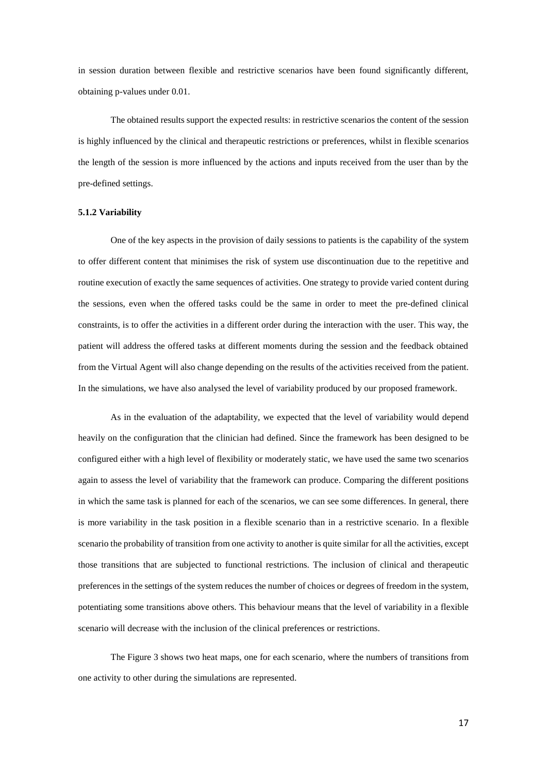in session duration between flexible and restrictive scenarios have been found significantly different, obtaining p-values under 0.01.

The obtained results support the expected results: in restrictive scenarios the content of the session is highly influenced by the clinical and therapeutic restrictions or preferences, whilst in flexible scenarios the length of the session is more influenced by the actions and inputs received from the user than by the pre-defined settings.

#### **5.1.2 Variability**

One of the key aspects in the provision of daily sessions to patients is the capability of the system to offer different content that minimises the risk of system use discontinuation due to the repetitive and routine execution of exactly the same sequences of activities. One strategy to provide varied content during the sessions, even when the offered tasks could be the same in order to meet the pre-defined clinical constraints, is to offer the activities in a different order during the interaction with the user. This way, the patient will address the offered tasks at different moments during the session and the feedback obtained from the Virtual Agent will also change depending on the results of the activities received from the patient. In the simulations, we have also analysed the level of variability produced by our proposed framework.

As in the evaluation of the adaptability, we expected that the level of variability would depend heavily on the configuration that the clinician had defined. Since the framework has been designed to be configured either with a high level of flexibility or moderately static, we have used the same two scenarios again to assess the level of variability that the framework can produce. Comparing the different positions in which the same task is planned for each of the scenarios, we can see some differences. In general, there is more variability in the task position in a flexible scenario than in a restrictive scenario. In a flexible scenario the probability of transition from one activity to another is quite similar for all the activities, except those transitions that are subjected to functional restrictions. The inclusion of clinical and therapeutic preferences in the settings of the system reduces the number of choices or degrees of freedom in the system, potentiating some transitions above others. This behaviour means that the level of variability in a flexible scenario will decrease with the inclusion of the clinical preferences or restrictions.

The Figure 3 shows two heat maps, one for each scenario, where the numbers of transitions from one activity to other during the simulations are represented.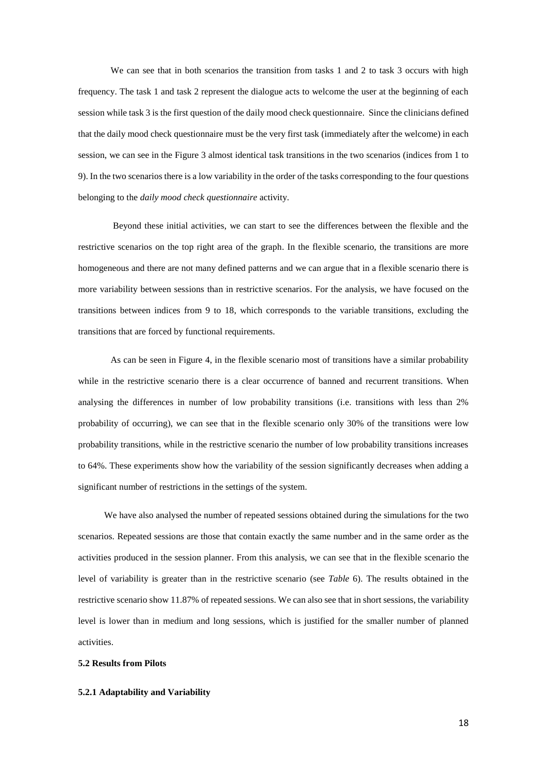We can see that in both scenarios the transition from tasks 1 and 2 to task 3 occurs with high frequency. The task 1 and task 2 represent the dialogue acts to welcome the user at the beginning of each session while task 3 is the first question of the daily mood check questionnaire. Since the clinicians defined that the daily mood check questionnaire must be the very first task (immediately after the welcome) in each session, we can see in the Figure 3 almost identical task transitions in the two scenarios (indices from 1 to 9). In the two scenarios there is a low variability in the order of the tasks corresponding to the four questions belonging to the *daily mood check questionnaire* activity.

Beyond these initial activities, we can start to see the differences between the flexible and the restrictive scenarios on the top right area of the graph. In the flexible scenario, the transitions are more homogeneous and there are not many defined patterns and we can argue that in a flexible scenario there is more variability between sessions than in restrictive scenarios. For the analysis, we have focused on the transitions between indices from 9 to 18, which corresponds to the variable transitions, excluding the transitions that are forced by functional requirements.

As can be seen in Figure 4, in the flexible scenario most of transitions have a similar probability while in the restrictive scenario there is a clear occurrence of banned and recurrent transitions. When analysing the differences in number of low probability transitions (i.e. transitions with less than 2% probability of occurring), we can see that in the flexible scenario only 30% of the transitions were low probability transitions, while in the restrictive scenario the number of low probability transitions increases to 64%. These experiments show how the variability of the session significantly decreases when adding a significant number of restrictions in the settings of the system.

We have also analysed the number of repeated sessions obtained during the simulations for the two scenarios. Repeated sessions are those that contain exactly the same number and in the same order as the activities produced in the session planner. From this analysis, we can see that in the flexible scenario the level of variability is greater than in the restrictive scenario (see *Table* 6). The results obtained in the restrictive scenario show 11.87% of repeated sessions. We can also see that in short sessions, the variability level is lower than in medium and long sessions, which is justified for the smaller number of planned activities.

# **5.2 Results from Pilots**

# **5.2.1 Adaptability and Variability**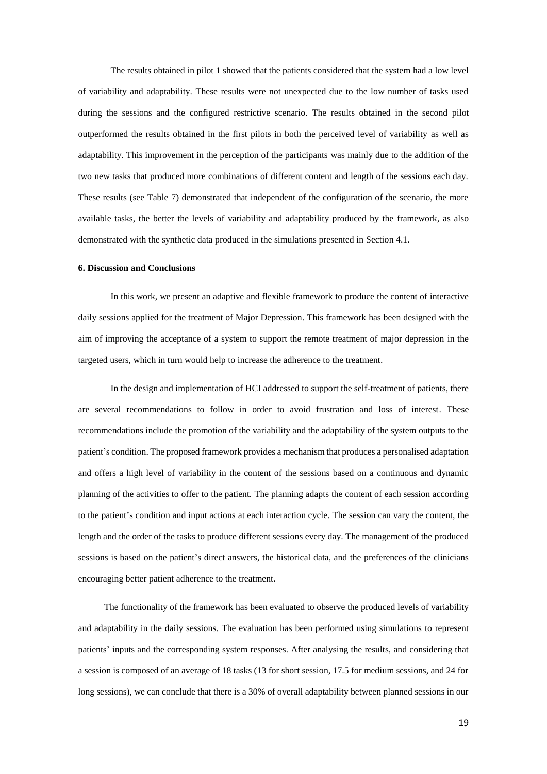The results obtained in pilot 1 showed that the patients considered that the system had a low level of variability and adaptability. These results were not unexpected due to the low number of tasks used during the sessions and the configured restrictive scenario. The results obtained in the second pilot outperformed the results obtained in the first pilots in both the perceived level of variability as well as adaptability. This improvement in the perception of the participants was mainly due to the addition of the two new tasks that produced more combinations of different content and length of the sessions each day. These results (see Table 7) demonstrated that independent of the configuration of the scenario, the more available tasks, the better the levels of variability and adaptability produced by the framework, as also demonstrated with the synthetic data produced in the simulations presented in Section 4.1.

## **6. Discussion and Conclusions**

In this work, we present an adaptive and flexible framework to produce the content of interactive daily sessions applied for the treatment of Major Depression. This framework has been designed with the aim of improving the acceptance of a system to support the remote treatment of major depression in the targeted users, which in turn would help to increase the adherence to the treatment.

In the design and implementation of HCI addressed to support the self-treatment of patients, there are several recommendations to follow in order to avoid frustration and loss of interest. These recommendations include the promotion of the variability and the adaptability of the system outputs to the patient's condition. The proposed framework provides a mechanism that produces a personalised adaptation and offers a high level of variability in the content of the sessions based on a continuous and dynamic planning of the activities to offer to the patient. The planning adapts the content of each session according to the patient's condition and input actions at each interaction cycle. The session can vary the content, the length and the order of the tasks to produce different sessions every day. The management of the produced sessions is based on the patient's direct answers, the historical data, and the preferences of the clinicians encouraging better patient adherence to the treatment.

The functionality of the framework has been evaluated to observe the produced levels of variability and adaptability in the daily sessions. The evaluation has been performed using simulations to represent patients' inputs and the corresponding system responses. After analysing the results, and considering that a session is composed of an average of 18 tasks (13 for short session, 17.5 for medium sessions, and 24 for long sessions), we can conclude that there is a 30% of overall adaptability between planned sessions in our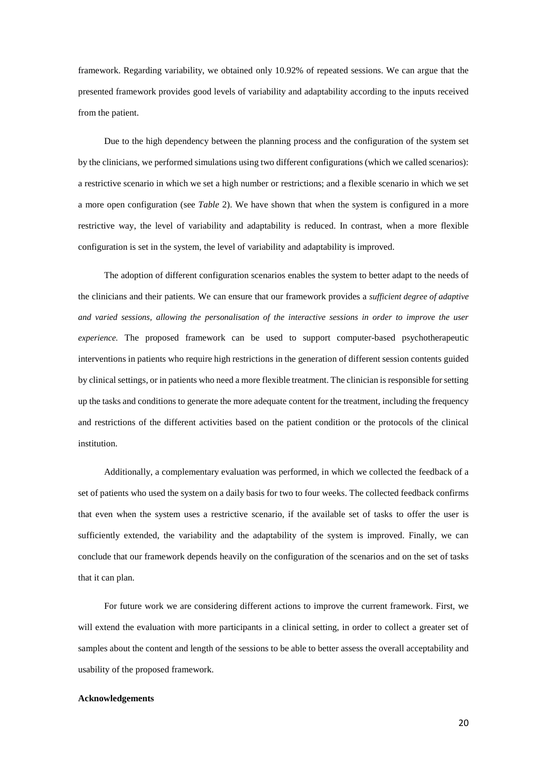framework. Regarding variability, we obtained only 10.92% of repeated sessions. We can argue that the presented framework provides good levels of variability and adaptability according to the inputs received from the patient.

Due to the high dependency between the planning process and the configuration of the system set by the clinicians, we performed simulations using two different configurations (which we called scenarios): a restrictive scenario in which we set a high number or restrictions; and a flexible scenario in which we set a more open configuration (see *Table* 2). We have shown that when the system is configured in a more restrictive way, the level of variability and adaptability is reduced. In contrast, when a more flexible configuration is set in the system, the level of variability and adaptability is improved.

The adoption of different configuration scenarios enables the system to better adapt to the needs of the clinicians and their patients. We can ensure that our framework provides a *sufficient degree of adaptive and varied sessions, allowing the personalisation of the interactive sessions in order to improve the user experience.* The proposed framework can be used to support computer-based psychotherapeutic interventions in patients who require high restrictions in the generation of different session contents guided by clinical settings, or in patients who need a more flexible treatment. The clinician is responsible for setting up the tasks and conditions to generate the more adequate content for the treatment, including the frequency and restrictions of the different activities based on the patient condition or the protocols of the clinical institution.

Additionally, a complementary evaluation was performed, in which we collected the feedback of a set of patients who used the system on a daily basis for two to four weeks. The collected feedback confirms that even when the system uses a restrictive scenario, if the available set of tasks to offer the user is sufficiently extended, the variability and the adaptability of the system is improved. Finally, we can conclude that our framework depends heavily on the configuration of the scenarios and on the set of tasks that it can plan.

For future work we are considering different actions to improve the current framework. First, we will extend the evaluation with more participants in a clinical setting, in order to collect a greater set of samples about the content and length of the sessions to be able to better assess the overall acceptability and usability of the proposed framework.

#### **Acknowledgements**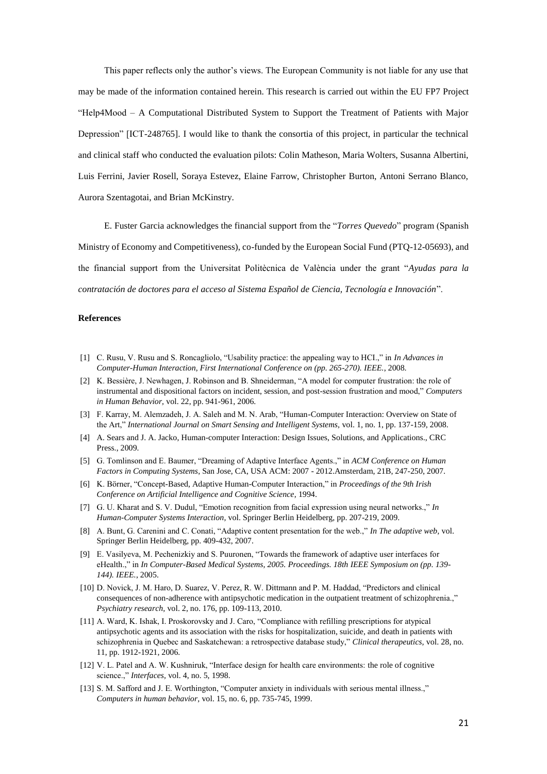This paper reflects only the author's views. The European Community is not liable for any use that may be made of the information contained herein. This research is carried out within the EU FP7 Project "Help4Mood – A Computational Distributed System to Support the Treatment of Patients with Major Depression" [ICT-248765]. I would like to thank the consortia of this project, in particular the technical and clinical staff who conducted the evaluation pilots: Colin Matheson, Maria Wolters, Susanna Albertini, Luis Ferrini, Javier Rosell, Soraya Estevez, Elaine Farrow, Christopher Burton, Antoni Serrano Blanco, Aurora Szentagotai, and Brian McKinstry.

E. Fuster Garcia acknowledges the financial support from the "*Torres Quevedo*" program (Spanish Ministry of Economy and Competitiveness), co-funded by the European Social Fund (PTQ-12-05693), and the financial support from the Universitat Politècnica de València under the grant "*Ayudas para la contratación de doctores para el acceso al Sistema Español de Ciencia, Tecnología e Innovación*".

# **References**

- [1] C. Rusu, V. Rusu and S. Roncagliolo, "Usability practice: the appealing way to HCI.," in *In Advances in Computer-Human Interaction, First International Conference on (pp. 265-270). IEEE.*, 2008.
- [2] K. Bessière, J. Newhagen, J. Robinson and B. Shneiderman, "A model for computer frustration: the role of instrumental and dispositional factors on incident, session, and post-session frustration and mood," *Computers in Human Behavior,* vol. 22, pp. 941-961, 2006.
- [3] F. Karray, M. Alemzadeh, J. A. Saleh and M. N. Arab, "Human-Computer Interaction: Overview on State of the Art," *International Journal on Smart Sensing and Intelligent Systems,* vol. 1, no. 1, pp. 137-159, 2008.
- [4] A. Sears and J. A. Jacko, Human-computer Interaction: Design Issues, Solutions, and Applications., CRC Press., 2009.
- [5] G. Tomlinson and E. Baumer, "Dreaming of Adaptive Interface Agents.," in *ACM Conference on Human Factors in Computing Systems*, San Jose, CA, USA ACM: 2007 - 2012.Amsterdam, 21B, 247-250, 2007.
- [6] K. Börner, "Concept-Based, Adaptive Human-Computer Interaction," in *Proceedings of the 9th Irish Conference on Artificial Intelligence and Cognitive Science*, 1994.
- [7] G. U. Kharat and S. V. Dudul, "Emotion recognition from facial expression using neural networks.," *In Human-Computer Systems Interaction,* vol. Springer Berlin Heidelberg, pp. 207-219, 2009.
- [8] A. Bunt, G. Carenini and C. Conati, "Adaptive content presentation for the web.," *In The adaptive web,* vol. Springer Berlin Heidelberg, pp. 409-432, 2007.
- [9] E. Vasilyeva, M. Pechenizkiy and S. Puuronen, "Towards the framework of adaptive user interfaces for eHealth.," in *In Computer-Based Medical Systems, 2005. Proceedings. 18th IEEE Symposium on (pp. 139- 144). IEEE.*, 2005.
- [10] D. Novick, J. M. Haro, D. Suarez, V. Perez, R. W. Dittmann and P. M. Haddad, "Predictors and clinical consequences of non-adherence with antipsychotic medication in the outpatient treatment of schizophrenia.," *Psychiatry research,* vol. 2, no. 176, pp. 109-113, 2010.
- [11] A. Ward, K. Ishak, I. Proskorovsky and J. Caro, "Compliance with refilling prescriptions for atypical antipsychotic agents and its association with the risks for hospitalization, suicide, and death in patients with schizophrenia in Quebec and Saskatchewan: a retrospective database study," *Clinical therapeutics,* vol. 28, no. 11, pp. 1912-1921, 2006.
- [12] V. L. Patel and A. W. Kushniruk, "Interface design for health care environments: the role of cognitive science.," *Interfaces,* vol. 4, no. 5, 1998.
- [13] S. M. Safford and J. E. Worthington, "Computer anxiety in individuals with serious mental illness.," *Computers in human behavior,* vol. 15, no. 6, pp. 735-745, 1999.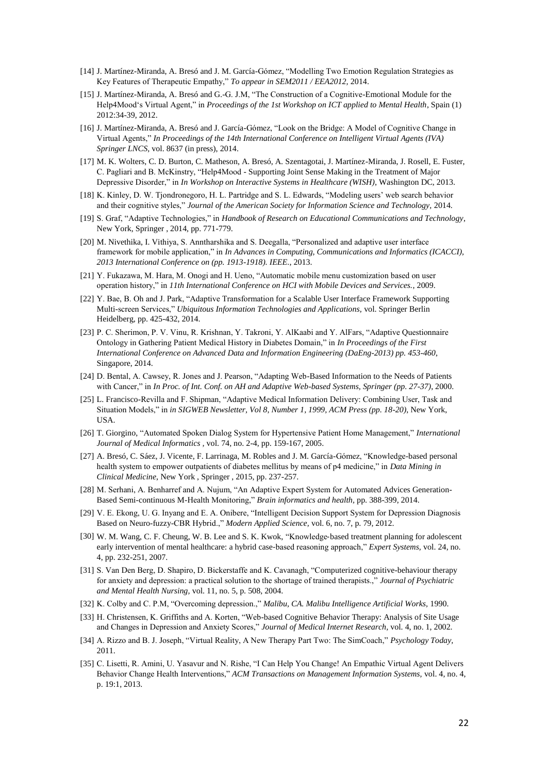- [14] J. Martínez-Miranda, A. Bresó and J. M. García-Gómez, "Modelling Two Emotion Regulation Strategies as Key Features of Therapeutic Empathy," *To appear in SEM2011 / EEA2012,* 2014.
- [15] J. Martínez-Miranda, A. Bresó and G.-G. J.M, "The Construction of a Cognitive-Emotional Module for the Help4Mood's Virtual Agent," in *Proceedings of the 1st Workshop on ICT applied to Mental Health*, Spain (1) 2012:34-39, 2012.
- [16] J. Martínez-Miranda, A. Bresó and J. García-Gómez, "Look on the Bridge: A Model of Cognitive Change in Virtual Agents," *In Proceedings of the 14th International Conference on Intelligent Virtual Agents (IVA) Springer LNCS,* vol. 8637 (in press), 2014.
- [17] M. K. Wolters, C. D. Burton, C. Matheson, A. Bresó, A. Szentagotai, J. Martínez-Miranda, J. Rosell, E. Fuster, C. Pagliari and B. McKinstry, "Help4Mood - Supporting Joint Sense Making in the Treatment of Major Depressive Disorder," in *In Workshop on Interactive Systems in Healthcare (WISH)*, Washington DC, 2013.
- [18] K. Kinley, D. W. Tjondronegoro, H. L. Partridge and S. L. Edwards, "Modeling users' web search behavior and their cognitive styles," *Journal of the American Society for Information Science and Technology,* 2014.
- [19] S. Graf, "Adaptive Technologies," in *Handbook of Research on Educational Communications and Technology*, New York, Springer , 2014, pp. 771-779.
- [20] M. Nivethika, I. Vithiya, S. Anntharshika and S. Deegalla, "Personalized and adaptive user interface framework for mobile application," in *In Advances in Computing, Communications and Informatics (ICACCI), 2013 International Conference on (pp. 1913-1918). IEEE.*, 2013.
- [21] Y. Fukazawa, M. Hara, M. Onogi and H. Ueno, "Automatic mobile menu customization based on user operation history," in *11th International Conference on HCI with Mobile Devices and Services.*, 2009.
- [22] Y. Bae, B. Oh and J. Park, "Adaptive Transformation for a Scalable User Interface Framework Supporting Multi-screen Services," *Ubiquitous Information Technologies and Applications,* vol. Springer Berlin Heidelberg, pp. 425-432, 2014.
- [23] P. C. Sherimon, P. V. Vinu, R. Krishnan, Y. Takroni, Y. AlKaabi and Y. AlFars, "Adaptive Questionnaire Ontology in Gathering Patient Medical History in Diabetes Domain," in *In Proceedings of the First International Conference on Advanced Data and Information Engineering (DaEng-2013) pp. 453-460*, Singapore, 2014.
- [24] D. Bental, A. Cawsey, R. Jones and J. Pearson, "Adapting Web-Based Information to the Needs of Patients with Cancer," in *In Proc. of Int. Conf. on AH and Adaptive Web-based Systems, Springer (pp. 27-37)*, 2000.
- [25] L. Francisco-Revilla and F. Shipman, "Adaptive Medical Information Delivery: Combining User, Task and Situation Models," in *in SIGWEB Newsletter, Vol 8, Number 1, 1999, ACM Press (pp. 18-20)*, New York, USA.
- [26] T. Giorgino, "Automated Spoken Dialog System for Hypertensive Patient Home Management," *International Journal of Medical Informatics ,* vol. 74, no. 2-4, pp. 159-167, 2005.
- [27] A. Bresó, C. Sáez, J. Vicente, F. Larrinaga, M. Robles and J. M. García-Gómez, "Knowledge-based personal health system to empower outpatients of diabetes mellitus by means of p4 medicine," in *Data Mining in Clinical Medicine*, New York , Springer , 2015, pp. 237-257.
- [28] M. Serhani, A. Benharref and A. Nujum, "An Adaptive Expert System for Automated Advices Generation-Based Semi-continuous M-Health Monitoring," *Brain informatics and health,* pp. 388-399, 2014.
- [29] V. E. Ekong, U. G. Inyang and E. A. Onibere, "Intelligent Decision Support System for Depression Diagnosis Based on Neuro-fuzzy-CBR Hybrid.," *Modern Applied Science,* vol. 6, no. 7, p. 79, 2012.
- [30] W. M. Wang, C. F. Cheung, W. B. Lee and S. K. Kwok, "Knowledge-based treatment planning for adolescent early intervention of mental healthcare: a hybrid case‐based reasoning approach," *Expert Systems,* vol. 24, no. 4, pp. 232-251, 2007.
- [31] S. Van Den Berg, D. Shapiro, D. Bickerstaffe and K. Cavanagh, "Computerized cognitive-behaviour therapy for anxiety and depression: a practical solution to the shortage of trained therapists.," *Journal of Psychiatric and Mental Health Nursing,* vol. 11, no. 5, p. 508, 2004.
- [32] K. Colby and C. P.M, "Overcoming depression.," *Malibu, CA. Malibu Intelligence Artificial Works,* 1990.
- [33] H. Christensen, K. Griffiths and A. Korten, "Web-based Cognitive Behavior Therapy: Analysis of Site Usage and Changes in Depression and Anxiety Scores," *Journal of Medical Internet Research,* vol. 4, no. 1, 2002.
- [34] A. Rizzo and B. J. Joseph, "Virtual Reality, A New Therapy Part Two: The SimCoach," *Psychology Today,*  2011.
- [35] C. Lisetti, R. Amini, U. Yasavur and N. Rishe, "I Can Help You Change! An Empathic Virtual Agent Delivers Behavior Change Health Interventions," *ACM Transactions on Management Information Systems,* vol. 4, no. 4, p. 19:1, 2013.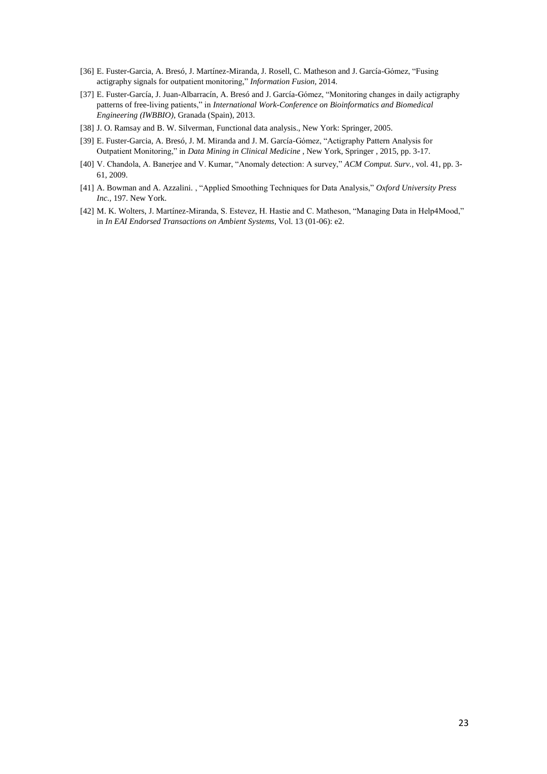- [36] E. Fuster-Garcia, A. Bresó, J. Martínez-Miranda, J. Rosell, C. Matheson and J. García-Gómez, "Fusing actigraphy signals for outpatient monitoring," *Information Fusion,* 2014.
- [37] E. Fuster-García, J. Juan-Albarracín, A. Bresó and J. García-Gómez, "Monitoring changes in daily actigraphy patterns of free-living patients," in *International Work-Conference on Bioinformatics and Biomedical Engineering (IWBBIO)*, Granada (Spain), 2013.
- [38] J. O. Ramsay and B. W. Silverman, Functional data analysis., New York: Springer, 2005.
- [39] E. Fuster-Garcia, A. Bresó, J. M. Miranda and J. M. García-Gómez, "Actigraphy Pattern Analysis for Outpatient Monitoring," in *Data Mining in Clinical Medicine* , New York, Springer , 2015, pp. 3-17.
- [40] V. Chandola, A. Banerjee and V. Kumar, "Anomaly detection: A survey," *ACM Comput. Surv.,* vol. 41, pp. 3- 61, 2009.
- [41] A. Bowman and A. Azzalini. , "Applied Smoothing Techniques for Data Analysis," *Oxford University Press Inc.,* 197. New York.
- [42] M. K. Wolters, J. Martínez-Miranda, S. Estevez, H. Hastie and C. Matheson, "Managing Data in Help4Mood," in *In EAI Endorsed Transactions on Ambient Systems*, Vol. 13 (01-06): e2.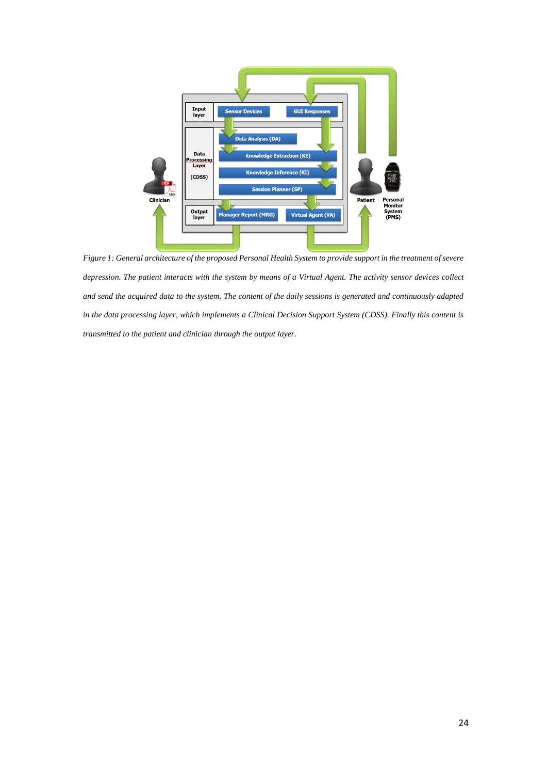

*Figure 1: General architecture of the proposed Personal Health System to provide support in the treatment of severe depression. The patient interacts with the system by means of a Virtual Agent. The activity sensor devices collect and send the acquired data to the system. The content of the daily sessions is generated and continuously adapted in the data processing layer, which implements a Clinical Decision Support System (CDSS). Finally this content is transmitted to the patient and clinician through the output layer.*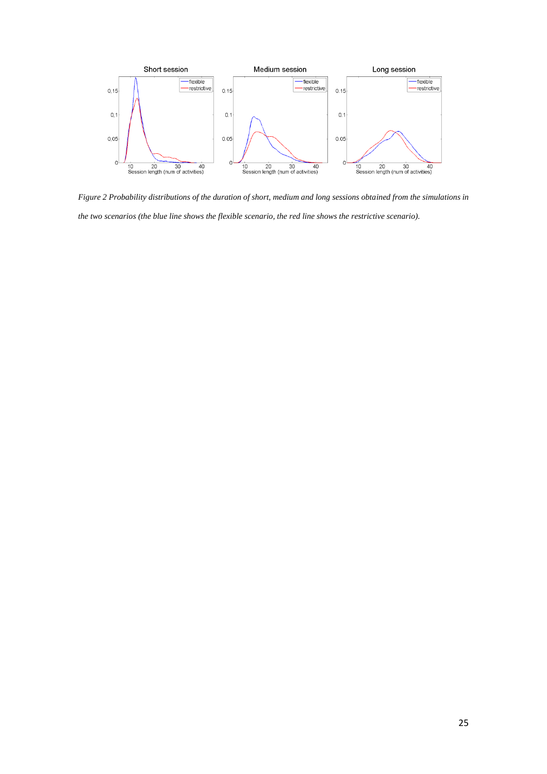

*Figure 2 Probability distributions of the duration of short, medium and long sessions obtained from the simulations in the two scenarios (the blue line shows the flexible scenario, the red line shows the restrictive scenario).*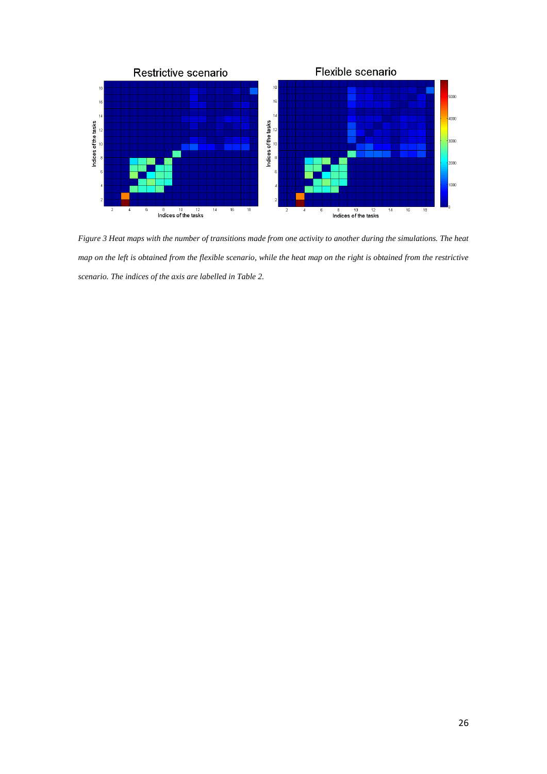

*Figure 3 Heat maps with the number of transitions made from one activity to another during the simulations. The heat map on the left is obtained from the flexible scenario, while the heat map on the right is obtained from the restrictive scenario. The indices of the axis are labelled in Table 2.*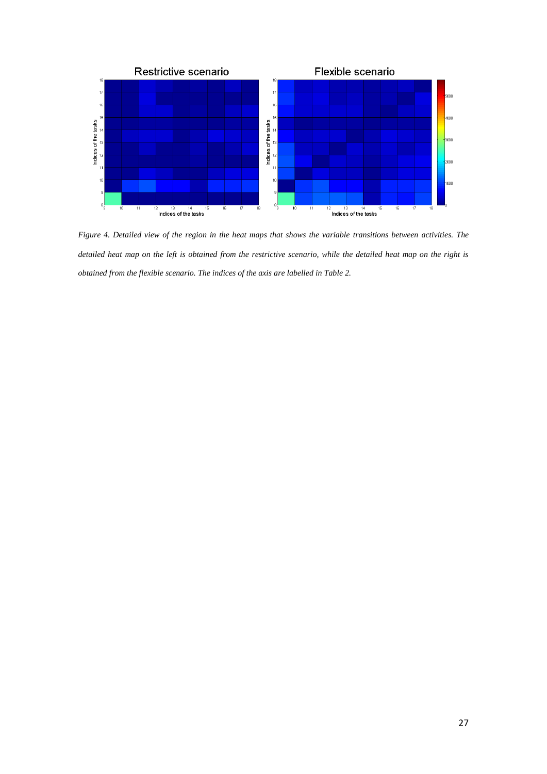

*Figure 4. Detailed view of the region in the heat maps that shows the variable transitions between activities. The detailed heat map on the left is obtained from the restrictive scenario, while the detailed heat map on the right is obtained from the flexible scenario. The indices of the axis are labelled in Table 2.*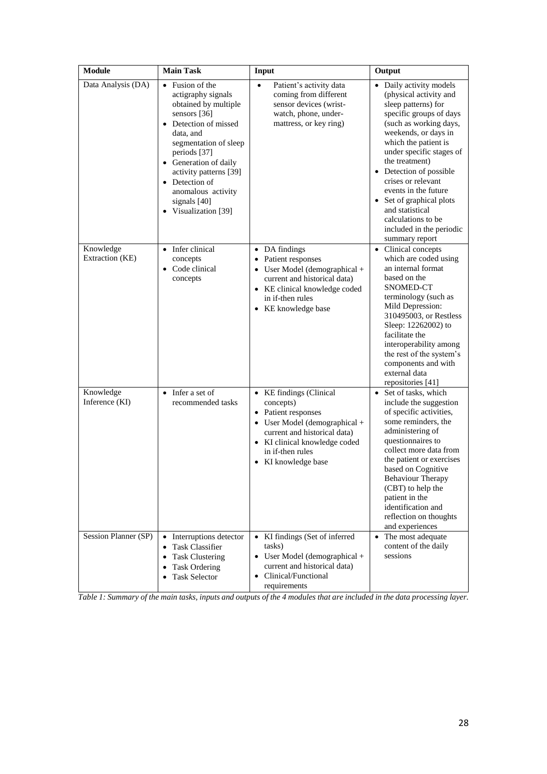| <b>Module</b>                | <b>Main Task</b>                                                                                                                                                                                                                                                                                    | Input                                                                                                                                                                                                            | Output                                                                                                                                                                                                                                                                                                                                                                                                                  |
|------------------------------|-----------------------------------------------------------------------------------------------------------------------------------------------------------------------------------------------------------------------------------------------------------------------------------------------------|------------------------------------------------------------------------------------------------------------------------------------------------------------------------------------------------------------------|-------------------------------------------------------------------------------------------------------------------------------------------------------------------------------------------------------------------------------------------------------------------------------------------------------------------------------------------------------------------------------------------------------------------------|
| Data Analysis (DA)           | $\bullet$ Fusion of the<br>actigraphy signals<br>obtained by multiple<br>sensors [36]<br>Detection of missed<br>data, and<br>segmentation of sleep<br>periods [37]<br>• Generation of daily<br>activity patterns [39]<br>• Detection of<br>anomalous activity<br>signals [40]<br>Visualization [39] | Patient's activity data<br>$\bullet$<br>coming from different<br>sensor devices (wrist-<br>watch, phone, under-<br>mattress, or key ring)                                                                        | • Daily activity models<br>(physical activity and<br>sleep patterns) for<br>specific groups of days<br>(such as working days,<br>weekends, or days in<br>which the patient is<br>under specific stages of<br>the treatment)<br>• Detection of possible<br>crises or relevant<br>events in the future<br>• Set of graphical plots<br>and statistical<br>calculations to be<br>included in the periodic<br>summary report |
| Knowledge<br>Extraction (KE) | • Infer clinical<br>concepts<br>• Code clinical<br>concepts                                                                                                                                                                                                                                         | • DA findings<br>• Patient responses<br>• User Model (demographical $+$<br>current and historical data)<br>• KE clinical knowledge coded<br>in if-then rules<br>• KE knowledge base                              | • Clinical concepts<br>which are coded using<br>an internal format<br>based on the<br>SNOMED-CT<br>terminology (such as<br>Mild Depression:<br>310495003, or Restless<br>Sleep: 12262002) to<br>facilitate the<br>interoperability among<br>the rest of the system's<br>components and with<br>external data<br>repositories [41]                                                                                       |
| Knowledge<br>Inference (KI)  | $\bullet$ Infer a set of<br>recommended tasks                                                                                                                                                                                                                                                       | • KE findings (Clinical<br>concepts)<br>• Patient responses<br>$\bullet$ User Model (demographical +<br>current and historical data)<br>• KI clinical knowledge coded<br>in if-then rules<br>• KI knowledge base | • Set of tasks, which<br>include the suggestion<br>of specific activities,<br>some reminders, the<br>administering of<br>questionnaires to<br>collect more data from<br>the patient or exercises<br>based on Cognitive<br><b>Behaviour Therapy</b><br>(CBT) to help the<br>patient in the<br>identification and<br>reflection on thoughts<br>and experiences                                                            |
| Session Planner (SP)         | • Interruptions detector<br>Task Classifier<br>$\bullet$<br><b>Task Clustering</b><br>$\bullet$<br><b>Task Ordering</b><br>$\bullet$<br><b>Task Selector</b>                                                                                                                                        | • KI findings (Set of inferred<br>tasks)<br>$\bullet$ User Model (demographical +<br>current and historical data)<br>• Clinical/Functional<br>requirements                                                       | • The most adequate<br>content of the daily<br>sessions                                                                                                                                                                                                                                                                                                                                                                 |

*Table 1: Summary of the main tasks, inputs and outputs of the 4 modules that are included in the data processing layer.*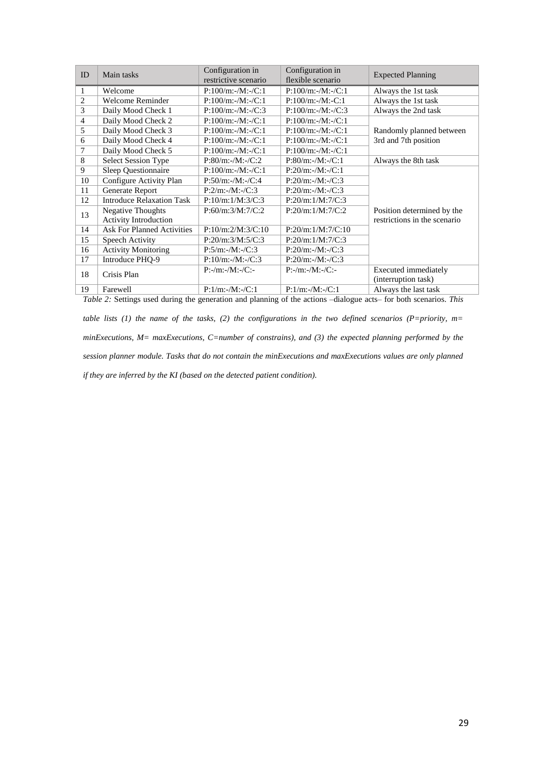| ID             | Main tasks                                               | Configuration in<br>restrictive scenario | Configuration in<br>flexible scenario | <b>Expected Planning</b>                                   |  |
|----------------|----------------------------------------------------------|------------------------------------------|---------------------------------------|------------------------------------------------------------|--|
| $\mathbf{1}$   | Welcome                                                  | $P:100/m:-/M:-/C:1$                      | $P:100/m:-/M:-/C:1$                   | Always the 1st task                                        |  |
| 2              | <b>Welcome Reminder</b>                                  | $P:100/m:-/M:-/C:1$                      | $P:100/m:-/M:-C:1$                    | Always the 1st task                                        |  |
| 3              | Daily Mood Check 1                                       | $P:100/m:-/M:-/C:3$                      | $P:100/m:-/M:-/C:3$                   | Always the 2nd task                                        |  |
| $\overline{4}$ | Daily Mood Check 2                                       | $P:100/m:-/M:-/C:1$                      | $P:100/m:-/M:-/C:1$                   |                                                            |  |
| 5              | Daily Mood Check 3                                       | $P:100/m:-/M:-/C:1$                      | $P:100/m:-/M:-/C:1$                   | Randomly planned between                                   |  |
| 6              | Daily Mood Check 4                                       | $P:100/m:-/M:-/C:1$                      | $P:100/m:-/M:-/C:1$                   | 3rd and 7th position                                       |  |
| 7              | Daily Mood Check 5                                       | $P:100/m:-/M:-/C:1$                      | $P:100/m:-/M:-/C:1$                   |                                                            |  |
| 8              | <b>Select Session Type</b>                               | $P:80/m:-/M:-/C:2$                       | $P:80/m:-/M:-/C:1$                    | Always the 8th task                                        |  |
| 9              | Sleep Questionnaire                                      | $P:100/m:-/M:-/C:1$                      | $P:20/m:-/M:-/C:1$                    |                                                            |  |
| 10             | Configure Activity Plan                                  | $P:50/m:-/M:-/C:4$                       | $P:20/m:-/M:-/C:3$                    |                                                            |  |
| 11             | Generate Report                                          | $P:2/m:-/M:-/C:3$                        | $P:20/m:-/M:-/C:3$                    |                                                            |  |
| 12             | <b>Introduce Relaxation Task</b>                         | P:10/m:1/M:3/C:3                         | P:20/m:1/M:7/C:3                      |                                                            |  |
| 13             | <b>Negative Thoughts</b><br><b>Activity Introduction</b> | P:60/m:3/M:7/C:2                         | P:20/m:1/M:7/C:2                      | Position determined by the<br>restrictions in the scenario |  |
| 14             | <b>Ask For Planned Activities</b>                        | P:10/m:2/M:3/C:10                        | P:20/m:1/M:7/C:10                     |                                                            |  |
| 15             | Speech Activity                                          | P:20/m:3/M:5/C:3                         | P:20/m:1/M:7/C:3                      |                                                            |  |
| 16             | <b>Activity Monitoring</b>                               | $P:5/m:-/M:-/C:3$                        | $P:20/m:-/M:-/C:3$                    |                                                            |  |
| 17             | Introduce PHO-9                                          | $P:10/m:-/M:-/C:3$                       | $P:20/m:-/M:-/C:3$                    |                                                            |  |
|                |                                                          |                                          |                                       |                                                            |  |
| 18             | Crisis Plan                                              | $P:-/m:-/M:-/C:-$                        | $P:-/m:-/M:-/C:-$                     | Executed immediately<br>(interruption task)                |  |
| 19             | Farewell                                                 | $P:1/m:-/M:-/C:1$                        | $P:1/m:-/M:-/C:1$                     | Always the last task                                       |  |

*Table 2:* Settings used during the generation and planning of the actions –dialogue acts– for both scenarios. *This table lists (1) the name of the tasks, (2) the configurations in the two defined scenarios (P=priority, m= minExecutions, M= maxExecutions, C=number of constrains), and (3) the expected planning performed by the session planner module. Tasks that do not contain the minExecutions and maxExecutions values are only planned if they are inferred by the KI (based on the detected patient condition).*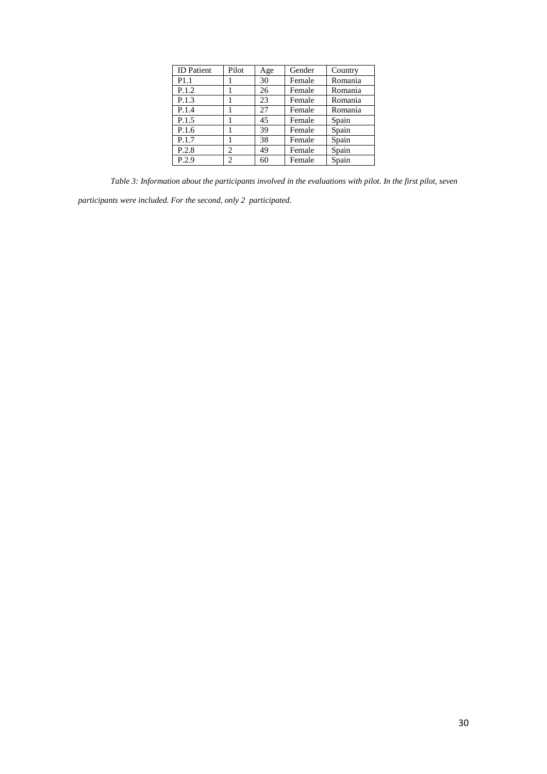| <b>ID</b> Patient | Pilot | Age | Gender | Country |
|-------------------|-------|-----|--------|---------|
| P <sub>1.1</sub>  |       | 30  | Female | Romania |
| P.1.2             |       | 26  | Female | Romania |
| P.1.3             |       | 23  | Female | Romania |
| P.1.4             |       | 27  | Female | Romania |
| P.1.5             |       | 45  | Female | Spain   |
| P.1.6             |       | 39  | Female | Spain   |
| P.1.7             |       | 38  | Female | Spain   |
| P.2.8             | 2     | 49  | Female | Spain   |
| P.2.9             | 2     | 60  | Female | Spain   |

*Table 3: Information about the participants involved in the evaluations with pilot. In the first pilot, seven* 

*participants were included. For the second, only 2 participated.*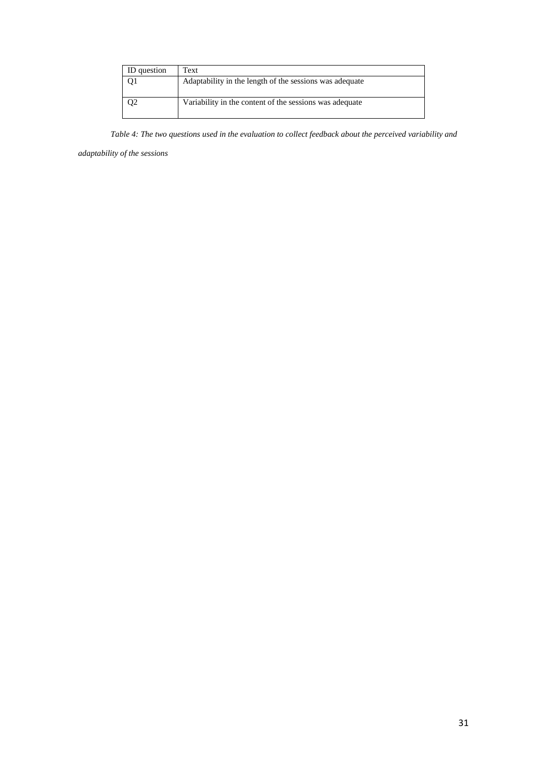| ID question | Text                                                    |
|-------------|---------------------------------------------------------|
|             | Adaptability in the length of the sessions was adequate |
|             | Variability in the content of the sessions was adequate |

*Table 4: The two questions used in the evaluation to collect feedback about the perceived variability and* 

*adaptability of the sessions*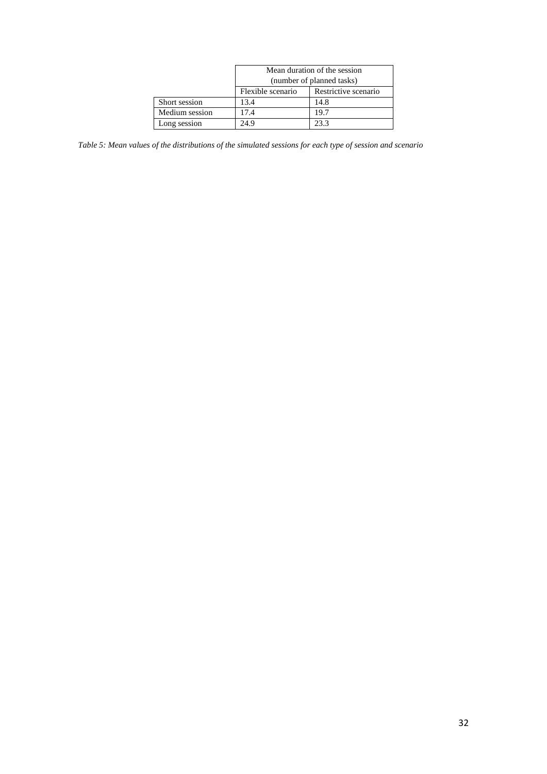|                | Mean duration of the session              |      |  |  |  |
|----------------|-------------------------------------------|------|--|--|--|
|                | (number of planned tasks)                 |      |  |  |  |
|                | Restrictive scenario<br>Flexible scenario |      |  |  |  |
| Short session  | 13.4                                      | 14.8 |  |  |  |
| Medium session | 17.4                                      | 19.7 |  |  |  |
| Long session   | 24.9                                      | 23.3 |  |  |  |

*Table 5: Mean values of the distributions of the simulated sessions for each type of session and scenario*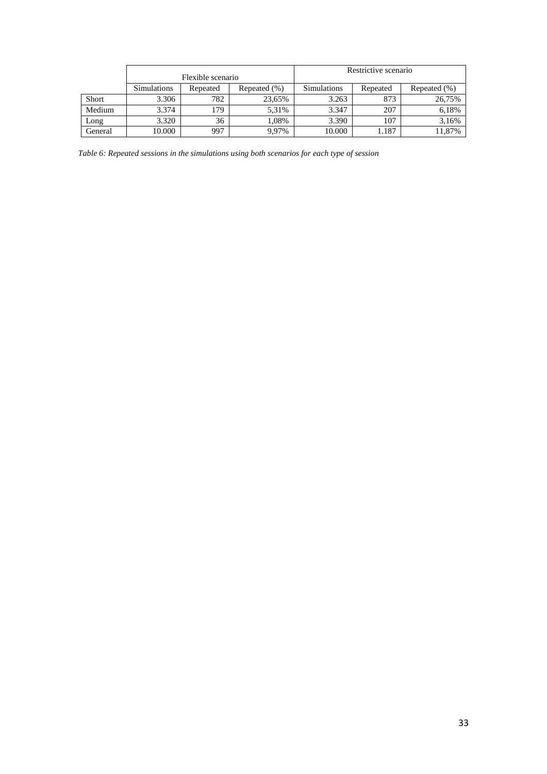|                                                | Flexible scenario |                    |          | Restrictive scenario |       |        |  |
|------------------------------------------------|-------------------|--------------------|----------|----------------------|-------|--------|--|
| <b>Simulations</b><br>Repeated (%)<br>Repeated |                   | <b>Simulations</b> | Repeated | Repeated (%)         |       |        |  |
| Short                                          | 3.306             | 782                | 23.65%   | 3.263                | 873   | 26,75% |  |
| Medium                                         | 3.374             | 179                | 5.31%    | 3.347                | 207   | 6,18%  |  |
| Long                                           | 3.320             | 36                 | 1.08%    | 3.390                | 107   | 3,16%  |  |
| General                                        | 10.000            | 997                | 9.97%    | 10.000               | 1.187 | 11,87% |  |

*Table 6: Repeated sessions in the simulations using both scenarios for each type of session*